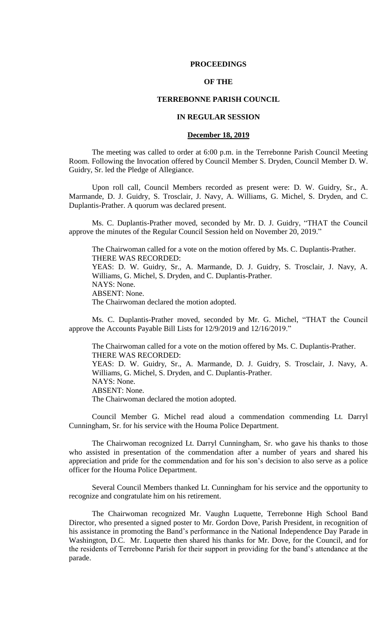## **PROCEEDINGS**

# **OF THE**

## **TERREBONNE PARISH COUNCIL**

## **IN REGULAR SESSION**

#### **December 18, 2019**

The meeting was called to order at 6:00 p.m. in the Terrebonne Parish Council Meeting Room. Following the Invocation offered by Council Member S. Dryden, Council Member D. W. Guidry, Sr. led the Pledge of Allegiance.

Upon roll call, Council Members recorded as present were: D. W. Guidry, Sr., A. Marmande, D. J. Guidry, S. Trosclair, J. Navy, A. Williams, G. Michel, S. Dryden, and C. Duplantis-Prather. A quorum was declared present.

Ms. C. Duplantis-Prather moved, seconded by Mr. D. J. Guidry, "THAT the Council approve the minutes of the Regular Council Session held on November 20, 2019."

The Chairwoman called for a vote on the motion offered by Ms. C. Duplantis-Prather. THERE WAS RECORDED: YEAS: D. W. Guidry, Sr., A. Marmande, D. J. Guidry, S. Trosclair, J. Navy, A. Williams, G. Michel, S. Dryden, and C. Duplantis-Prather. NAYS: None. ABSENT: None. The Chairwoman declared the motion adopted.

Ms. C. Duplantis-Prather moved, seconded by Mr. G. Michel, "THAT the Council approve the Accounts Payable Bill Lists for 12/9/2019 and 12/16/2019."

The Chairwoman called for a vote on the motion offered by Ms. C. Duplantis-Prather. THERE WAS RECORDED: YEAS: D. W. Guidry, Sr., A. Marmande, D. J. Guidry, S. Trosclair, J. Navy, A. Williams, G. Michel, S. Dryden, and C. Duplantis-Prather. NAYS: None. ABSENT: None. The Chairwoman declared the motion adopted.

Council Member G. Michel read aloud a commendation commending Lt. Darryl Cunningham, Sr. for his service with the Houma Police Department.

The Chairwoman recognized Lt. Darryl Cunningham, Sr. who gave his thanks to those who assisted in presentation of the commendation after a number of years and shared his appreciation and pride for the commendation and for his son's decision to also serve as a police officer for the Houma Police Department.

Several Council Members thanked Lt. Cunningham for his service and the opportunity to recognize and congratulate him on his retirement.

The Chairwoman recognized Mr. Vaughn Luquette, Terrebonne High School Band Director, who presented a signed poster to Mr. Gordon Dove, Parish President, in recognition of his assistance in promoting the Band's performance in the National Independence Day Parade in Washington, D.C. Mr. Luquette then shared his thanks for Mr. Dove, for the Council, and for the residents of Terrebonne Parish for their support in providing for the band's attendance at the parade.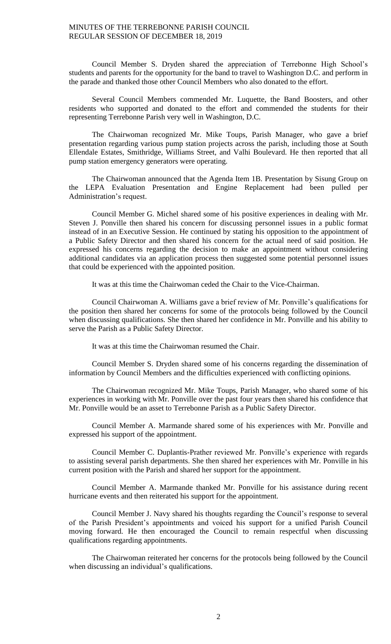Council Member S. Dryden shared the appreciation of Terrebonne High School's students and parents for the opportunity for the band to travel to Washington D.C. and perform in the parade and thanked those other Council Members who also donated to the effort.

Several Council Members commended Mr. Luquette, the Band Boosters, and other residents who supported and donated to the effort and commended the students for their representing Terrebonne Parish very well in Washington, D.C.

The Chairwoman recognized Mr. Mike Toups, Parish Manager, who gave a brief presentation regarding various pump station projects across the parish, including those at South Ellendale Estates, Smithridge, Williams Street, and Valhi Boulevard. He then reported that all pump station emergency generators were operating.

The Chairwoman announced that the Agenda Item 1B. Presentation by Sisung Group on the LEPA Evaluation Presentation and Engine Replacement had been pulled per Administration's request.

Council Member G. Michel shared some of his positive experiences in dealing with Mr. Steven J. Ponville then shared his concern for discussing personnel issues in a public format instead of in an Executive Session. He continued by stating his opposition to the appointment of a Public Safety Director and then shared his concern for the actual need of said position. He expressed his concerns regarding the decision to make an appointment without considering additional candidates via an application process then suggested some potential personnel issues that could be experienced with the appointed position.

It was at this time the Chairwoman ceded the Chair to the Vice-Chairman.

Council Chairwoman A. Williams gave a brief review of Mr. Ponville's qualifications for the position then shared her concerns for some of the protocols being followed by the Council when discussing qualifications. She then shared her confidence in Mr. Ponville and his ability to serve the Parish as a Public Safety Director.

It was at this time the Chairwoman resumed the Chair.

Council Member S. Dryden shared some of his concerns regarding the dissemination of information by Council Members and the difficulties experienced with conflicting opinions.

The Chairwoman recognized Mr. Mike Toups, Parish Manager, who shared some of his experiences in working with Mr. Ponville over the past four years then shared his confidence that Mr. Ponville would be an asset to Terrebonne Parish as a Public Safety Director.

Council Member A. Marmande shared some of his experiences with Mr. Ponville and expressed his support of the appointment.

Council Member C. Duplantis-Prather reviewed Mr. Ponville's experience with regards to assisting several parish departments. She then shared her experiences with Mr. Ponville in his current position with the Parish and shared her support for the appointment.

Council Member A. Marmande thanked Mr. Ponville for his assistance during recent hurricane events and then reiterated his support for the appointment.

Council Member J. Navy shared his thoughts regarding the Council's response to several of the Parish President's appointments and voiced his support for a unified Parish Council moving forward. He then encouraged the Council to remain respectful when discussing qualifications regarding appointments.

The Chairwoman reiterated her concerns for the protocols being followed by the Council when discussing an individual's qualifications.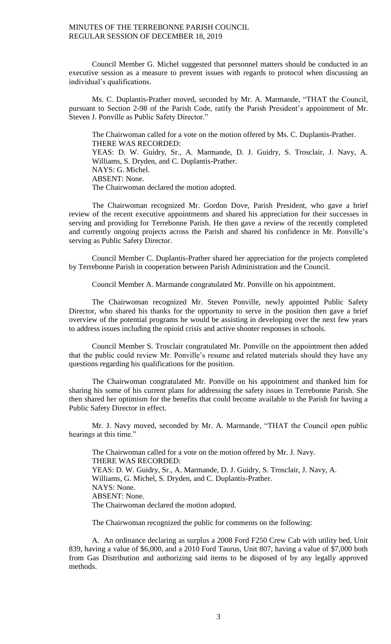Council Member G. Michel suggested that personnel matters should be conducted in an executive session as a measure to prevent issues with regards to protocol when discussing an individual's qualifications.

Ms. C. Duplantis-Prather moved, seconded by Mr. A. Marmande, "THAT the Council, pursuant to Section 2-98 of the Parish Code, ratify the Parish President's appointment of Mr. Steven J. Ponville as Public Safety Director."

The Chairwoman called for a vote on the motion offered by Ms. C. Duplantis-Prather. THERE WAS RECORDED: YEAS: D. W. Guidry, Sr., A. Marmande, D. J. Guidry, S. Trosclair, J. Navy, A. Williams, S. Dryden, and C. Duplantis-Prather. NAYS: G. Michel. ABSENT: None. The Chairwoman declared the motion adopted.

The Chairwoman recognized Mr. Gordon Dove, Parish President, who gave a brief review of the recent executive appointments and shared his appreciation for their successes in serving and providing for Terrebonne Parish. He then gave a review of the recently completed and currently ongoing projects across the Parish and shared his confidence in Mr. Ponville's serving as Public Safety Director.

Council Member C. Duplantis-Prather shared her appreciation for the projects completed by Terrebonne Parish in cooperation between Parish Administration and the Council.

Council Member A. Marmande congratulated Mr. Ponville on his appointment.

The Chairwoman recognized Mr. Steven Ponville, newly appointed Public Safety Director, who shared his thanks for the opportunity to serve in the position then gave a brief overview of the potential programs he would be assisting in developing over the next few years to address issues including the opioid crisis and active shooter responses in schools.

Council Member S. Trosclair congratulated Mr. Ponville on the appointment then added that the public could review Mr. Ponville's resume and related materials should they have any questions regarding his qualifications for the position.

The Chairwoman congratulated Mr. Ponville on his appointment and thanked him for sharing his some of his current plans for addressing the safety issues in Terrebonne Parish. She then shared her optimism for the benefits that could become available to the Parish for having a Public Safety Director in effect.

Mr. J. Navy moved, seconded by Mr. A. Marmande, "THAT the Council open public hearings at this time."

The Chairwoman called for a vote on the motion offered by Mr. J. Navy. THERE WAS RECORDED: YEAS: D. W. Guidry, Sr., A. Marmande, D. J. Guidry, S. Trosclair, J. Navy, A. Williams, G. Michel, S. Dryden, and C. Duplantis-Prather. NAYS: None. ABSENT: None. The Chairwoman declared the motion adopted.

The Chairwoman recognized the public for comments on the following:

A. An ordinance declaring as surplus a 2008 Ford F250 Crew Cab with utility bed, Unit 839, having a value of \$6,000, and a 2010 Ford Taurus, Unit 807, having a value of \$7,000 both from Gas Distribution and authorizing said items to be disposed of by any legally approved methods.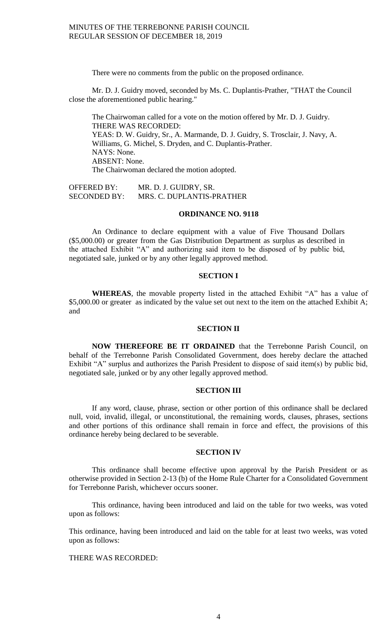There were no comments from the public on the proposed ordinance.

Mr. D. J. Guidry moved, seconded by Ms. C. Duplantis-Prather, "THAT the Council close the aforementioned public hearing."

The Chairwoman called for a vote on the motion offered by Mr. D. J. Guidry. THERE WAS RECORDED: YEAS: D. W. Guidry, Sr., A. Marmande, D. J. Guidry, S. Trosclair, J. Navy, A. Williams, G. Michel, S. Dryden, and C. Duplantis-Prather. NAYS: None. ABSENT: None. The Chairwoman declared the motion adopted.

OFFERED BY: MR. D. J. GUIDRY, SR. SECONDED BY: MRS. C. DUPLANTIS-PRATHER

### **ORDINANCE NO. 9118**

An Ordinance to declare equipment with a value of Five Thousand Dollars (\$5,000.00) or greater from the Gas Distribution Department as surplus as described in the attached Exhibit "A" and authorizing said item to be disposed of by public bid, negotiated sale, junked or by any other legally approved method.

## **SECTION I**

**WHEREAS**, the movable property listed in the attached Exhibit "A" has a value of \$5,000.00 or greater as indicated by the value set out next to the item on the attached Exhibit A; and

#### **SECTION II**

**NOW THEREFORE BE IT ORDAINED** that the Terrebonne Parish Council, on behalf of the Terrebonne Parish Consolidated Government, does hereby declare the attached Exhibit "A" surplus and authorizes the Parish President to dispose of said item(s) by public bid, negotiated sale, junked or by any other legally approved method.

## **SECTION III**

If any word, clause, phrase, section or other portion of this ordinance shall be declared null, void, invalid, illegal, or unconstitutional, the remaining words, clauses, phrases, sections and other portions of this ordinance shall remain in force and effect, the provisions of this ordinance hereby being declared to be severable.

### **SECTION IV**

This ordinance shall become effective upon approval by the Parish President or as otherwise provided in Section 2-13 (b) of the Home Rule Charter for a Consolidated Government for Terrebonne Parish, whichever occurs sooner.

This ordinance, having been introduced and laid on the table for two weeks, was voted upon as follows:

This ordinance, having been introduced and laid on the table for at least two weeks, was voted upon as follows:

# THERE WAS RECORDED: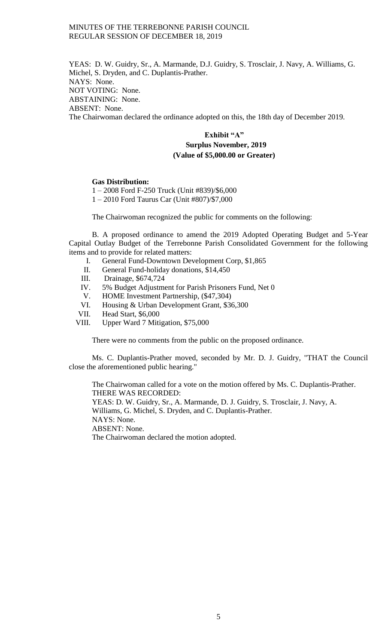YEAS: D. W. Guidry, Sr., A. Marmande, D.J. Guidry, S. Trosclair, J. Navy, A. Williams, G. Michel, S. Dryden, and C. Duplantis-Prather. NAYS: None. NOT VOTING: None. ABSTAINING: None. ABSENT: None. The Chairwoman declared the ordinance adopted on this, the 18th day of December 2019.

# **Exhibit "A" Surplus November, 2019 (Value of \$5,000.00 or Greater)**

## **Gas Distribution:**

1 – 2008 Ford F-250 Truck (Unit #839)/\$6,000 1 – 2010 Ford Taurus Car (Unit #807)/\$7,000

The Chairwoman recognized the public for comments on the following:

B. A proposed ordinance to amend the 2019 Adopted Operating Budget and 5-Year Capital Outlay Budget of the Terrebonne Parish Consolidated Government for the following items and to provide for related matters:

- I. General Fund-Downtown Development Corp, \$1,865
- II. General Fund-holiday donations, \$14,450
- III. Drainage, \$674,724
- IV. 5% Budget Adjustment for Parish Prisoners Fund, Net 0
- V. HOME Investment Partnership, (\$47,304)
- VI. Housing & Urban Development Grant, \$36,300
- VII. Head Start, \$6,000
- VIII. Upper Ward 7 Mitigation, \$75,000

There were no comments from the public on the proposed ordinance.

Ms. C. Duplantis-Prather moved, seconded by Mr. D. J. Guidry, "THAT the Council close the aforementioned public hearing."

The Chairwoman called for a vote on the motion offered by Ms. C. Duplantis-Prather. THERE WAS RECORDED: YEAS: D. W. Guidry, Sr., A. Marmande, D. J. Guidry, S. Trosclair, J. Navy, A. Williams, G. Michel, S. Dryden, and C. Duplantis-Prather. NAYS: None. ABSENT: None. The Chairwoman declared the motion adopted.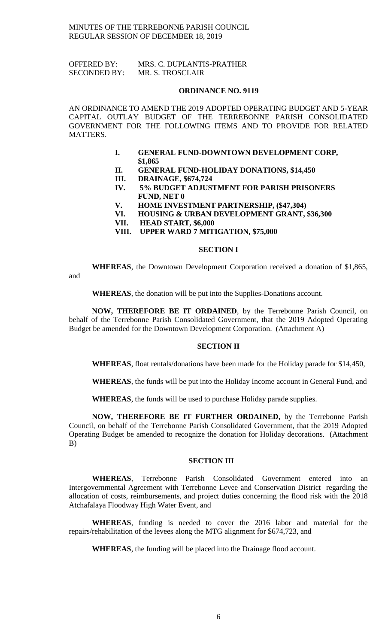OFFERED BY: MRS. C. DUPLANTIS-PRATHER SECONDED BY: MR. S. TROSCLAIR

#### **ORDINANCE NO. 9119**

AN ORDINANCE TO AMEND THE 2019 ADOPTED OPERATING BUDGET AND 5-YEAR CAPITAL OUTLAY BUDGET OF THE TERREBONNE PARISH CONSOLIDATED GOVERNMENT FOR THE FOLLOWING ITEMS AND TO PROVIDE FOR RELATED MATTERS.

- **I. GENERAL FUND-DOWNTOWN DEVELOPMENT CORP, \$1,865**
- **II. GENERAL FUND-HOLIDAY DONATIONS, \$14,450**
- **III. DRAINAGE, \$674,724**
- **IV. 5% BUDGET ADJUSTMENT FOR PARISH PRISONERS FUND, NET 0**
- **V. HOME INVESTMENT PARTNERSHIP, (\$47,304)**
- **VI. HOUSING & URBAN DEVELOPMENT GRANT, \$36,300**
- **VII. HEAD START, \$6,000**
- **VIII. UPPER WARD 7 MITIGATION, \$75,000**

### **SECTION I**

**WHEREAS**, the Downtown Development Corporation received a donation of \$1,865,

and

**WHEREAS**, the donation will be put into the Supplies-Donations account.

**NOW, THEREFORE BE IT ORDAINED**, by the Terrebonne Parish Council, on behalf of the Terrebonne Parish Consolidated Government, that the 2019 Adopted Operating Budget be amended for the Downtown Development Corporation. (Attachment A)

## **SECTION II**

**WHEREAS**, float rentals/donations have been made for the Holiday parade for \$14,450,

**WHEREAS**, the funds will be put into the Holiday Income account in General Fund, and

**WHEREAS**, the funds will be used to purchase Holiday parade supplies.

**NOW, THEREFORE BE IT FURTHER ORDAINED,** by the Terrebonne Parish Council, on behalf of the Terrebonne Parish Consolidated Government, that the 2019 Adopted Operating Budget be amended to recognize the donation for Holiday decorations. (Attachment B)

### **SECTION III**

**WHEREAS**, Terrebonne Parish Consolidated Government entered into an Intergovernmental Agreement with Terrebonne Levee and Conservation District regarding the allocation of costs, reimbursements, and project duties concerning the flood risk with the 2018 Atchafalaya Floodway High Water Event, and

**WHEREAS**, funding is needed to cover the 2016 labor and material for the repairs/rehabilitation of the levees along the MTG alignment for \$674,723, and

**WHEREAS**, the funding will be placed into the Drainage flood account.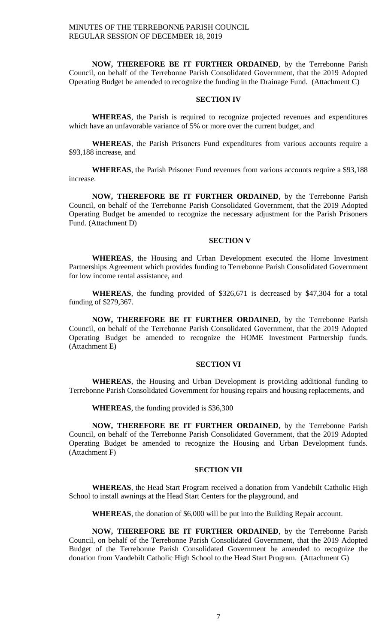**NOW, THEREFORE BE IT FURTHER ORDAINED**, by the Terrebonne Parish Council, on behalf of the Terrebonne Parish Consolidated Government, that the 2019 Adopted Operating Budget be amended to recognize the funding in the Drainage Fund. (Attachment C)

## **SECTION IV**

**WHEREAS**, the Parish is required to recognize projected revenues and expenditures which have an unfavorable variance of 5% or more over the current budget, and

**WHEREAS**, the Parish Prisoners Fund expenditures from various accounts require a \$93,188 increase, and

**WHEREAS**, the Parish Prisoner Fund revenues from various accounts require a \$93,188 increase.

**NOW, THEREFORE BE IT FURTHER ORDAINED**, by the Terrebonne Parish Council, on behalf of the Terrebonne Parish Consolidated Government, that the 2019 Adopted Operating Budget be amended to recognize the necessary adjustment for the Parish Prisoners Fund. (Attachment D)

## **SECTION V**

**WHEREAS**, the Housing and Urban Development executed the Home Investment Partnerships Agreement which provides funding to Terrebonne Parish Consolidated Government for low income rental assistance, and

**WHEREAS**, the funding provided of \$326,671 is decreased by \$47,304 for a total funding of \$279,367.

**NOW, THEREFORE BE IT FURTHER ORDAINED**, by the Terrebonne Parish Council, on behalf of the Terrebonne Parish Consolidated Government, that the 2019 Adopted Operating Budget be amended to recognize the HOME Investment Partnership funds. (Attachment E)

## **SECTION VI**

**WHEREAS**, the Housing and Urban Development is providing additional funding to Terrebonne Parish Consolidated Government for housing repairs and housing replacements, and

**WHEREAS**, the funding provided is \$36,300

**NOW, THEREFORE BE IT FURTHER ORDAINED**, by the Terrebonne Parish Council, on behalf of the Terrebonne Parish Consolidated Government, that the 2019 Adopted Operating Budget be amended to recognize the Housing and Urban Development funds. (Attachment F)

#### **SECTION VII**

**WHEREAS**, the Head Start Program received a donation from Vandebilt Catholic High School to install awnings at the Head Start Centers for the playground, and

**WHEREAS**, the donation of \$6,000 will be put into the Building Repair account.

**NOW, THEREFORE BE IT FURTHER ORDAINED**, by the Terrebonne Parish Council, on behalf of the Terrebonne Parish Consolidated Government, that the 2019 Adopted Budget of the Terrebonne Parish Consolidated Government be amended to recognize the donation from Vandebilt Catholic High School to the Head Start Program. (Attachment G)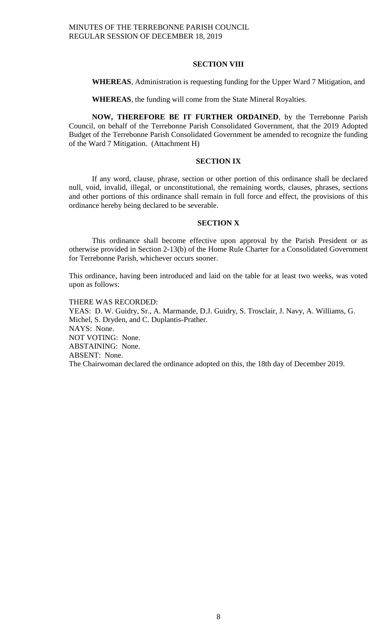## **SECTION VIII**

**WHEREAS**, Administration is requesting funding for the Upper Ward 7 Mitigation, and

**WHEREAS**, the funding will come from the State Mineral Royalties.

**NOW, THEREFORE BE IT FURTHER ORDAINED**, by the Terrebonne Parish Council, on behalf of the Terrebonne Parish Consolidated Government, that the 2019 Adopted Budget of the Terrebonne Parish Consolidated Government be amended to recognize the funding of the Ward 7 Mitigation. (Attachment H)

## **SECTION IX**

If any word, clause, phrase, section or other portion of this ordinance shall be declared null, void, invalid, illegal, or unconstitutional, the remaining words, clauses, phrases, sections and other portions of this ordinance shall remain in full force and effect, the provisions of this ordinance hereby being declared to be severable.

#### **SECTION X**

This ordinance shall become effective upon approval by the Parish President or as otherwise provided in Section 2-13(b) of the Home Rule Charter for a Consolidated Government for Terrebonne Parish, whichever occurs sooner.

This ordinance, having been introduced and laid on the table for at least two weeks, was voted upon as follows:

THERE WAS RECORDED: YEAS: D. W. Guidry, Sr., A. Marmande, D.J. Guidry, S. Trosclair, J. Navy, A. Williams, G. Michel, S. Dryden, and C. Duplantis-Prather. NAYS: None. NOT VOTING: None. ABSTAINING: None. ABSENT: None. The Chairwoman declared the ordinance adopted on this, the 18th day of December 2019.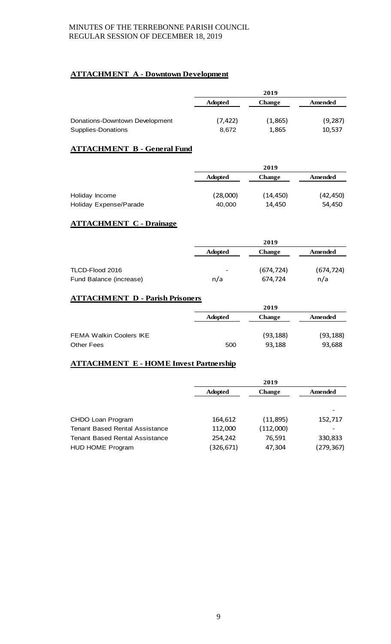# **ATTACHMENT A - Downtown Development**

| <b>Change</b><br>Amended      |       |
|-------------------------------|-------|
|                               |       |
| (9, 287)<br>(1,865)<br>10,537 |       |
|                               | 1,865 |

# **ATTACHMENT B - General Fund**

|                        |                | 2019          |           |
|------------------------|----------------|---------------|-----------|
|                        | <b>Adopted</b> | <b>Change</b> | Amended   |
|                        |                |               |           |
| Holiday Income         | (28,000)       | (14, 450)     | (42, 450) |
| Holiday Expense/Parade | 40,000         | 14,450        | 54,450    |
|                        |                |               |           |

# **ATTACHMENT C - Drainage**

|                         |                          | 2019          |            |
|-------------------------|--------------------------|---------------|------------|
|                         | <b>Adopted</b>           | <b>Change</b> | Amended    |
|                         |                          |               |            |
| TLCD-Flood 2016         | $\overline{\phantom{a}}$ | (674, 724)    | (674, 724) |
| Fund Balance (increase) | n/a                      | 674.724       | n/a        |

# **ATTACHMENT D - Parish Prisoners**

|                                | 2019           |               |           |
|--------------------------------|----------------|---------------|-----------|
|                                | <b>Adopted</b> | <b>Change</b> | Amended   |
| <b>FEMA Walkin Coolers IKE</b> |                | (93, 188)     | (93, 188) |
| <b>Other Fees</b>              | 500            | 93,188        | 93,688    |

# **ATTACHMENT E - HOME Invest Partnership**

|                                       | 2019           |               |            |
|---------------------------------------|----------------|---------------|------------|
|                                       | <b>Adopted</b> | <b>Change</b> | Amended    |
|                                       |                |               |            |
|                                       |                |               |            |
| CHDO Loan Program                     | 164,612        | (11,895)      | 152,717    |
| <b>Tenant Based Rental Assistance</b> | 112,000        | (112,000)     |            |
| <b>Tenant Based Rental Assistance</b> | 254,242        | 76,591        | 330,833    |
| <b>HUD HOME Program</b>               | (326, 671)     | 47,304        | (279, 367) |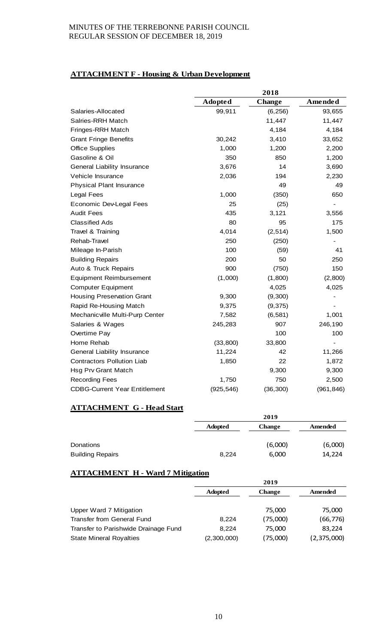# **ATTACHMENT F - Housing & Urban Development**

|                                      |                | 2018          |                              |
|--------------------------------------|----------------|---------------|------------------------------|
|                                      | <b>Adopted</b> | <b>Change</b> | Amended                      |
| Salaries-Allocated                   | 99,911         | (6, 256)      | 93,655                       |
| Salries-RRH Match                    |                | 11,447        | 11,447                       |
| Fringes-RRH Match                    |                | 4,184         | 4,184                        |
| <b>Grant Fringe Benefits</b>         | 30,242         | 3,410         | 33,652                       |
| <b>Office Supplies</b>               | 1,000          | 1,200         | 2,200                        |
| Gasoline & Oil                       | 350            | 850           | 1,200                        |
| General Liability Insurance          | 3,676          | 14            | 3,690                        |
| Vehicle Insurance                    | 2,036          | 194           | 2,230                        |
| <b>Physical Plant Insurance</b>      |                | 49            | 49                           |
| <b>Legal Fees</b>                    | 1,000          | (350)         | 650                          |
| Economic Dev-Legal Fees              | 25             | (25)          | $\qquad \qquad \blacksquare$ |
| <b>Audit Fees</b>                    | 435            | 3,121         | 3,556                        |
| <b>Classified Ads</b>                | 80             | 95            | 175                          |
| Travel & Training                    | 4,014          | (2, 514)      | 1,500                        |
| Rehab-Travel                         | 250            | (250)         |                              |
| Mileage In-Parish                    | 100            | (59)          | 41                           |
| <b>Building Repairs</b>              | 200            | 50            | 250                          |
| Auto & Truck Repairs                 | 900            | (750)         | 150                          |
| <b>Equipment Reimbursement</b>       | (1,000)        | (1,800)       | (2,800)                      |
| <b>Computer Equipment</b>            |                | 4,025         | 4,025                        |
| <b>Housing Preservation Grant</b>    | 9,300          | (9,300)       |                              |
| Rapid Re-Housing Match               | 9,375          | (9, 375)      |                              |
| Mechanicville Multi-Purp Center      | 7,582          | (6, 581)      | 1,001                        |
| Salaries & Wages                     | 245,283        | 907           | 246,190                      |
| Overtime Pay                         |                | 100           | 100                          |
| Home Rehab                           | (33, 800)      | 33,800        | $\overline{a}$               |
| General Liability Insurance          | 11,224         | 42            | 11,266                       |
| <b>Contractors Pollution Liab</b>    | 1,850          | 22            | 1,872                        |
| Hsg Prv Grant Match                  |                | 9,300         | 9,300                        |
| <b>Recording Fees</b>                | 1,750          | 750           | 2,500                        |
| <b>CDBG-Current Year Entitlement</b> | (925, 546)     | (36, 300)     | (961, 846)                   |

# **ATTACHMENT G - Head Start**

|                         |                | 2019          |         |
|-------------------------|----------------|---------------|---------|
|                         | <b>Adopted</b> | <b>Change</b> | Amended |
|                         |                |               |         |
| Donations               |                | (6,000)       | (6,000) |
| <b>Building Repairs</b> | 8.224          | 6,000         | 14,224  |

# **ATTACHMENT H - Ward 7 Mitigation**

|                                      | 2019           |               |             |
|--------------------------------------|----------------|---------------|-------------|
|                                      | <b>Adopted</b> | <b>Change</b> | Amended     |
|                                      |                |               |             |
| Upper Ward 7 Mitigation              |                | 75.000        | 75,000      |
| Transfer from General Fund           | 8.224          | (75,000)      | (66, 776)   |
| Transfer to Parishwide Drainage Fund | 8.224          | 75,000        | 83,224      |
| <b>State Mineral Royalties</b>       | (2,300,000)    | (75,000)      | (2,375,000) |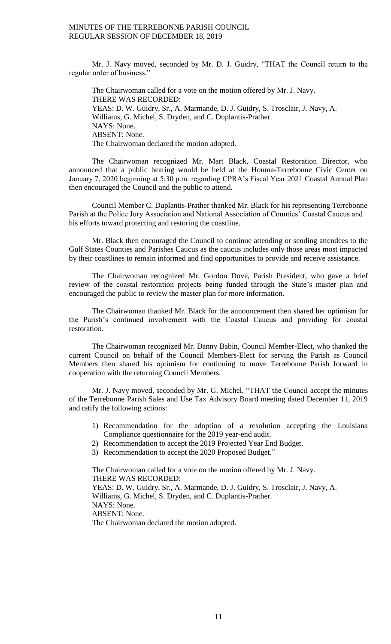Mr. J. Navy moved, seconded by Mr. D. J. Guidry, "THAT the Council return to the regular order of business."

The Chairwoman called for a vote on the motion offered by Mr. J. Navy. THERE WAS RECORDED: YEAS: D. W. Guidry, Sr., A. Marmande, D. J. Guidry, S. Trosclair, J. Navy, A. Williams, G. Michel, S. Dryden, and C. Duplantis-Prather. NAYS: None. ABSENT: None. The Chairwoman declared the motion adopted.

The Chairwoman recognized Mr. Mart Black, Coastal Restoration Director, who announced that a public hearing would be held at the Houma-Terrebonne Civic Center on January 7, 2020 beginning at 5:30 p.m. regarding CPRA's Fiscal Year 2021 Coastal Annual Plan then encouraged the Council and the public to attend.

Council Member C. Duplantis-Prather thanked Mr. Black for his representing Terrebonne Parish at the Police Jury Association and National Association of Counties' Coastal Caucus and his efforts toward protecting and restoring the coastline.

Mr. Black then encouraged the Council to continue attending or sending attendees to the Gulf States Counties and Parishes Caucus as the caucus includes only those areas most impacted by their coastlines to remain informed and find opportunities to provide and receive assistance.

The Chairwoman recognized Mr. Gordon Dove, Parish President, who gave a brief review of the coastal restoration projects being funded through the State's master plan and encouraged the public to review the master plan for more information.

The Chairwoman thanked Mr. Black for the announcement then shared her optimism for the Parish's continued involvement with the Coastal Caucus and providing for coastal restoration.

The Chairwoman recognized Mr. Danny Babin, Council Member-Elect, who thanked the current Council on behalf of the Council Members-Elect for serving the Parish as Council Members then shared his optimism for continuing to move Terrebonne Parish forward in cooperation with the returning Council Members.

Mr. J. Navy moved, seconded by Mr. G. Michel, "THAT the Council accept the minutes of the Terrebonne Parish Sales and Use Tax Advisory Board meeting dated December 11, 2019 and ratify the following actions:

- 1) Recommendation for the adoption of a resolution accepting the Louisiana Compliance questionnaire for the 2019 year-end audit.
- 2) Recommendation to accept the 2019 Projected Year End Budget.
- 3) Recommendation to accept the 2020 Proposed Budget."

The Chairwoman called for a vote on the motion offered by Mr. J. Navy. THERE WAS RECORDED: YEAS: D. W. Guidry, Sr., A. Marmande, D. J. Guidry, S. Trosclair, J. Navy, A. Williams, G. Michel, S. Dryden, and C. Duplantis-Prather. NAYS: None. ABSENT: None. The Chairwoman declared the motion adopted.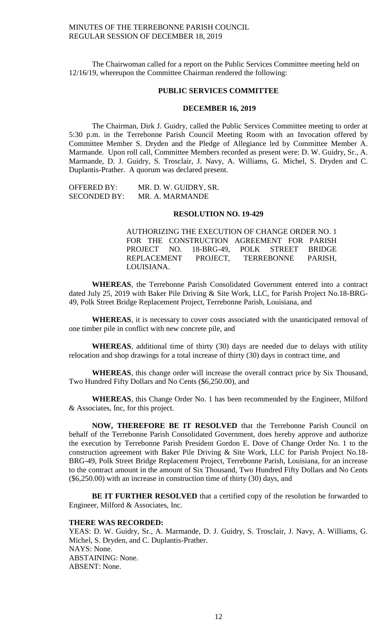The Chairwoman called for a report on the Public Services Committee meeting held on 12/16/19, whereupon the Committee Chairman rendered the following:

#### **PUBLIC SERVICES COMMITTEE**

# **DECEMBER 16, 2019**

The Chairman, Dirk J. Guidry, called the Public Services Committee meeting to order at 5:30 p.m. in the Terrebonne Parish Council Meeting Room with an Invocation offered by Committee Member S. Dryden and the Pledge of Allegiance led by Committee Member A. Marmande. Upon roll call, Committee Members recorded as present were: D. W. Guidry, Sr., A. Marmande, D. J. Guidry, S. Trosclair, J. Navy, A. Williams, G. Michel, S. Dryden and C. Duplantis-Prather. A quorum was declared present.

OFFERED BY: MR. D. W. GUIDRY, SR. SECONDED BY: MR. A. MARMANDE

### **RESOLUTION NO. 19-429**

AUTHORIZING THE EXECUTION OF CHANGE ORDER NO. 1 FOR THE CONSTRUCTION AGREEMENT FOR PARISH PROJECT NO. 18-BRG-49, POLK STREET BRIDGE REPLACEMENT PROJECT, TERREBONNE PARISH, LOUISIANA.

**WHEREAS**, the Terrebonne Parish Consolidated Government entered into a contract dated July 25, 2019 with Baker Pile Driving & Site Work, LLC, for Parish Project No.18-BRG-49, Polk Street Bridge Replacement Project, Terrebonne Parish, Louisiana, and

**WHEREAS**, it is necessary to cover costs associated with the unanticipated removal of one timber pile in conflict with new concrete pile, and

**WHEREAS**, additional time of thirty (30) days are needed due to delays with utility relocation and shop drawings for a total increase of thirty (30) days in contract time, and

**WHEREAS**, this change order will increase the overall contract price by Six Thousand, Two Hundred Fifty Dollars and No Cents (\$6,250.00), and

**WHEREAS**, this Change Order No. 1 has been recommended by the Engineer, Milford & Associates, Inc, for this project.

**NOW, THEREFORE BE IT RESOLVED** that the Terrebonne Parish Council on behalf of the Terrebonne Parish Consolidated Government, does hereby approve and authorize the execution by Terrebonne Parish President Gordon E. Dove of Change Order No. 1 to the construction agreement with Baker Pile Driving & Site Work, LLC for Parish Project No.18- BRG-49, Polk Street Bridge Replacement Project, Terrebonne Parish, Louisiana, for an increase to the contract amount in the amount of Six Thousand, Two Hundred Fifty Dollars and No Cents (\$6,250.00) with an increase in construction time of thirty (30) days, and

**BE IT FURTHER RESOLVED** that a certified copy of the resolution be forwarded to Engineer, Milford & Associates, Inc.

## **THERE WAS RECORDED:**

YEAS: D. W. Guidry, Sr., A. Marmande, D. J. Guidry, S. Trosclair, J. Navy, A. Williams, G. Michel, S. Dryden, and C. Duplantis-Prather. NAYS: None. ABSTAINING: None. ABSENT: None.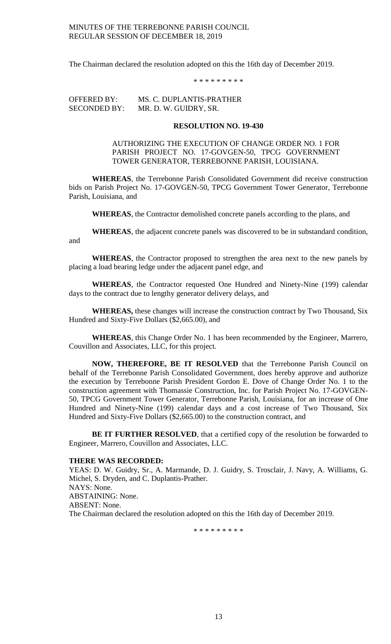The Chairman declared the resolution adopted on this the 16th day of December 2019.

\* \* \* \* \* \* \* \* \*

OFFERED BY: MS. C. DUPLANTIS-PRATHER SECONDED BY: MR. D. W. GUIDRY, SR.

## **RESOLUTION NO. 19-430**

AUTHORIZING THE EXECUTION OF CHANGE ORDER NO. 1 FOR PARISH PROJECT NO. 17-GOVGEN-50, TPCG GOVERNMENT TOWER GENERATOR, TERREBONNE PARISH, LOUISIANA.

**WHEREAS**, the Terrebonne Parish Consolidated Government did receive construction bids on Parish Project No. 17-GOVGEN-50, TPCG Government Tower Generator, Terrebonne Parish, Louisiana, and

**WHEREAS**, the Contractor demolished concrete panels according to the plans, and

**WHEREAS**, the adjacent concrete panels was discovered to be in substandard condition, and

**WHEREAS**, the Contractor proposed to strengthen the area next to the new panels by placing a load bearing ledge under the adjacent panel edge, and

**WHEREAS**, the Contractor requested One Hundred and Ninety-Nine (199) calendar days to the contract due to lengthy generator delivery delays, and

**WHEREAS,** these changes will increase the construction contract by Two Thousand, Six Hundred and Sixty-Five Dollars (\$2,665.00), and

**WHEREAS**, this Change Order No. 1 has been recommended by the Engineer, Marrero, Couvillon and Associates, LLC, for this project.

**NOW, THEREFORE, BE IT RESOLVED** that the Terrebonne Parish Council on behalf of the Terrebonne Parish Consolidated Government, does hereby approve and authorize the execution by Terrebonne Parish President Gordon E. Dove of Change Order No. 1 to the construction agreement with Thomassie Construction, Inc. for Parish Project No. 17-GOVGEN-50, TPCG Government Tower Generator, Terrebonne Parish, Louisiana, for an increase of One Hundred and Ninety-Nine (199) calendar days and a cost increase of Two Thousand, Six Hundred and Sixty-Five Dollars (\$2,665.00) to the construction contract, and

**BE IT FURTHER RESOLVED**, that a certified copy of the resolution be forwarded to Engineer, Marrero, Couvillon and Associates, LLC.

#### **THERE WAS RECORDED:**

YEAS: D. W. Guidry, Sr., A. Marmande, D. J. Guidry, S. Trosclair, J. Navy, A. Williams, G. Michel, S. Dryden, and C. Duplantis-Prather. NAYS: None. ABSTAINING: None. ABSENT: None. The Chairman declared the resolution adopted on this the 16th day of December 2019.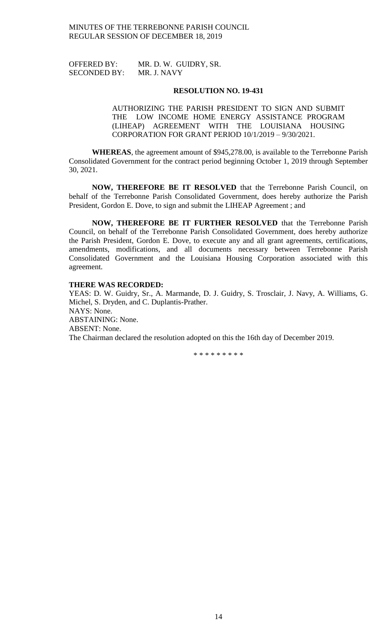OFFERED BY: MR. D. W. GUIDRY, SR. SECONDED BY: MR. J. NAVY

#### **RESOLUTION NO. 19-431**

AUTHORIZING THE PARISH PRESIDENT TO SIGN AND SUBMIT THE LOW INCOME HOME ENERGY ASSISTANCE PROGRAM (LIHEAP) AGREEMENT WITH THE LOUISIANA HOUSING CORPORATION FOR GRANT PERIOD 10/1/2019 – 9/30/2021.

**WHEREAS**, the agreement amount of \$945,278.00, is available to the Terrebonne Parish Consolidated Government for the contract period beginning October 1, 2019 through September 30, 2021.

**NOW, THEREFORE BE IT RESOLVED** that the Terrebonne Parish Council, on behalf of the Terrebonne Parish Consolidated Government, does hereby authorize the Parish President, Gordon E. Dove, to sign and submit the LIHEAP Agreement ; and

**NOW, THEREFORE BE IT FURTHER RESOLVED** that the Terrebonne Parish Council, on behalf of the Terrebonne Parish Consolidated Government, does hereby authorize the Parish President, Gordon E. Dove, to execute any and all grant agreements, certifications, amendments, modifications, and all documents necessary between Terrebonne Parish Consolidated Government and the Louisiana Housing Corporation associated with this agreement.

## **THERE WAS RECORDED:**

YEAS: D. W. Guidry, Sr., A. Marmande, D. J. Guidry, S. Trosclair, J. Navy, A. Williams, G. Michel, S. Dryden, and C. Duplantis-Prather. NAYS: None. ABSTAINING: None. ABSENT: None. The Chairman declared the resolution adopted on this the 16th day of December 2019.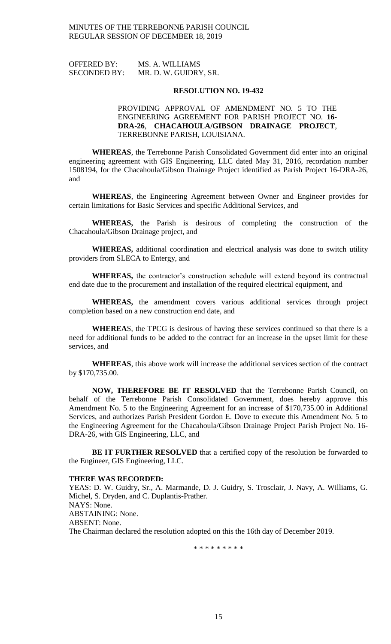| <b>OFFERED BY:</b>  | MS. A. WILLIAMS       |
|---------------------|-----------------------|
| <b>SECONDED BY:</b> | MR. D. W. GUIDRY, SR. |

#### **RESOLUTION NO. 19-432**

## PROVIDING APPROVAL OF AMENDMENT NO. 5 TO THE ENGINEERING AGREEMENT FOR PARISH PROJECT NO. **16- DRA-26**, **CHACAHOULA/GIBSON DRAINAGE PROJECT**, TERREBONNE PARISH, LOUISIANA.

**WHEREAS**, the Terrebonne Parish Consolidated Government did enter into an original engineering agreement with GIS Engineering, LLC dated May 31, 2016, recordation number 1508194, for the Chacahoula/Gibson Drainage Project identified as Parish Project 16-DRA-26, and

**WHEREAS**, the Engineering Agreement between Owner and Engineer provides for certain limitations for Basic Services and specific Additional Services, and

**WHEREAS,** the Parish is desirous of completing the construction of the Chacahoula/Gibson Drainage project, and

**WHEREAS,** additional coordination and electrical analysis was done to switch utility providers from SLECA to Entergy, and

**WHEREAS,** the contractor's construction schedule will extend beyond its contractual end date due to the procurement and installation of the required electrical equipment, and

**WHEREAS,** the amendment covers various additional services through project completion based on a new construction end date, and

**WHEREA**S, the TPCG is desirous of having these services continued so that there is a need for additional funds to be added to the contract for an increase in the upset limit for these services, and

**WHEREAS**, this above work will increase the additional services section of the contract by \$170,735.00.

**NOW, THEREFORE BE IT RESOLVED** that the Terrebonne Parish Council, on behalf of the Terrebonne Parish Consolidated Government, does hereby approve this Amendment No. 5 to the Engineering Agreement for an increase of \$170,735.00 in Additional Services, and authorizes Parish President Gordon E. Dove to execute this Amendment No. 5 to the Engineering Agreement for the Chacahoula/Gibson Drainage Project Parish Project No. 16- DRA-26, with GIS Engineering, LLC, and

**BE IT FURTHER RESOLVED** that a certified copy of the resolution be forwarded to the Engineer, GIS Engineering, LLC.

## **THERE WAS RECORDED:**

YEAS: D. W. Guidry, Sr., A. Marmande, D. J. Guidry, S. Trosclair, J. Navy, A. Williams, G. Michel, S. Dryden, and C. Duplantis-Prather. NAYS: None. ABSTAINING: None. ABSENT: None. The Chairman declared the resolution adopted on this the 16th day of December 2019.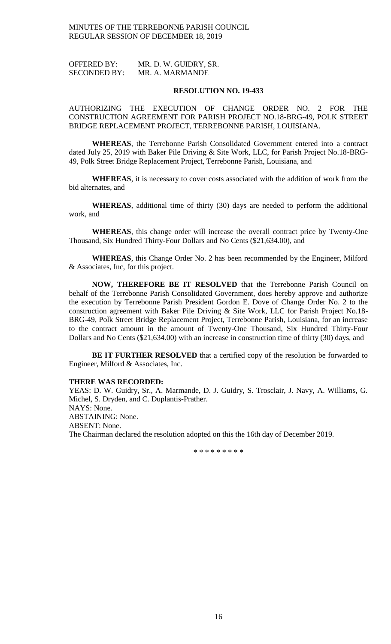OFFERED BY: MR. D. W. GUIDRY, SR. SECONDED BY: MR. A. MARMANDE

## **RESOLUTION NO. 19-433**

AUTHORIZING THE EXECUTION OF CHANGE ORDER NO. 2 FOR THE CONSTRUCTION AGREEMENT FOR PARISH PROJECT NO.18-BRG-49, POLK STREET BRIDGE REPLACEMENT PROJECT, TERREBONNE PARISH, LOUISIANA.

**WHEREAS**, the Terrebonne Parish Consolidated Government entered into a contract dated July 25, 2019 with Baker Pile Driving & Site Work, LLC, for Parish Project No.18-BRG-49, Polk Street Bridge Replacement Project, Terrebonne Parish, Louisiana, and

**WHEREAS**, it is necessary to cover costs associated with the addition of work from the bid alternates, and

**WHEREAS**, additional time of thirty (30) days are needed to perform the additional work, and

**WHEREAS**, this change order will increase the overall contract price by Twenty-One Thousand, Six Hundred Thirty-Four Dollars and No Cents (\$21,634.00), and

**WHEREAS**, this Change Order No. 2 has been recommended by the Engineer, Milford & Associates, Inc, for this project.

**NOW, THEREFORE BE IT RESOLVED** that the Terrebonne Parish Council on behalf of the Terrebonne Parish Consolidated Government, does hereby approve and authorize the execution by Terrebonne Parish President Gordon E. Dove of Change Order No. 2 to the construction agreement with Baker Pile Driving & Site Work, LLC for Parish Project No.18- BRG-49, Polk Street Bridge Replacement Project, Terrebonne Parish, Louisiana, for an increase to the contract amount in the amount of Twenty-One Thousand, Six Hundred Thirty-Four Dollars and No Cents (\$21,634.00) with an increase in construction time of thirty (30) days, and

BE IT FURTHER RESOLVED that a certified copy of the resolution be forwarded to Engineer, Milford & Associates, Inc.

#### **THERE WAS RECORDED:**

YEAS: D. W. Guidry, Sr., A. Marmande, D. J. Guidry, S. Trosclair, J. Navy, A. Williams, G. Michel, S. Dryden, and C. Duplantis-Prather. NAYS: None. ABSTAINING: None. ABSENT: None. The Chairman declared the resolution adopted on this the 16th day of December 2019.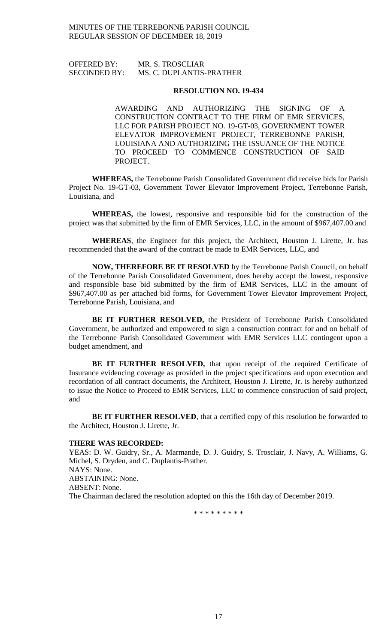# OFFERED BY: MR. S. TROSCLIAR SECONDED BY: MS. C. DUPLANTIS-PRATHER

## **RESOLUTION NO. 19-434**

AWARDING AND AUTHORIZING THE SIGNING OF A CONSTRUCTION CONTRACT TO THE FIRM OF EMR SERVICES, LLC FOR PARISH PROJECT NO. 19-GT-03, GOVERNMENT TOWER ELEVATOR IMPROVEMENT PROJECT, TERREBONNE PARISH, LOUISIANA AND AUTHORIZING THE ISSUANCE OF THE NOTICE TO PROCEED TO COMMENCE CONSTRUCTION OF SAID PROJECT.

**WHEREAS,** the Terrebonne Parish Consolidated Government did receive bids for Parish Project No. 19-GT-03, Government Tower Elevator Improvement Project, Terrebonne Parish, Louisiana, and

**WHEREAS,** the lowest, responsive and responsible bid for the construction of the project was that submitted by the firm of EMR Services, LLC, in the amount of \$967,407.00 and

**WHEREAS**, the Engineer for this project, the Architect, Houston J. Lirette, Jr. has recommended that the award of the contract be made to EMR Services, LLC, and

**NOW, THEREFORE BE IT RESOLVED** by the Terrebonne Parish Council, on behalf of the Terrebonne Parish Consolidated Government, does hereby accept the lowest, responsive and responsible base bid submitted by the firm of EMR Services, LLC in the amount of \$967,407.00 as per attached bid forms, for Government Tower Elevator Improvement Project, Terrebonne Parish, Louisiana, and

**BE IT FURTHER RESOLVED,** the President of Terrebonne Parish Consolidated Government, be authorized and empowered to sign a construction contract for and on behalf of the Terrebonne Parish Consolidated Government with EMR Services LLC contingent upon a budget amendment, and

BE IT FURTHER RESOLVED, that upon receipt of the required Certificate of Insurance evidencing coverage as provided in the project specifications and upon execution and recordation of all contract documents, the Architect, Houston J. Lirette, Jr. is hereby authorized to issue the Notice to Proceed to EMR Services, LLC to commence construction of said project, and

**BE IT FURTHER RESOLVED**, that a certified copy of this resolution be forwarded to the Architect, Houston J. Lirette, Jr.

## **THERE WAS RECORDED:**

YEAS: D. W. Guidry, Sr., A. Marmande, D. J. Guidry, S. Trosclair, J. Navy, A. Williams, G. Michel, S. Dryden, and C. Duplantis-Prather. NAYS: None. ABSTAINING: None. ABSENT: None. The Chairman declared the resolution adopted on this the 16th day of December 2019.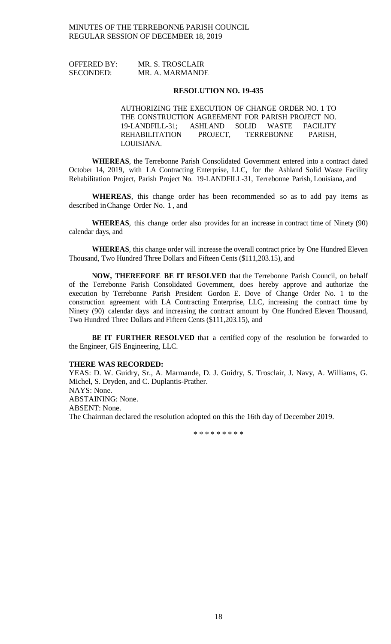| <b>OFFERED BY:</b> | MR. S. TROSCLAIR |
|--------------------|------------------|
| <b>SECONDED:</b>   | MR. A. MARMANDE  |

#### **RESOLUTION NO. 19-435**

AUTHORIZING THE EXECUTION OF CHANGE ORDER NO. 1 TO THE CONSTRUCTION AGREEMENT FOR PARISH PROJECT NO.<br>19-LANDFILL-31; ASHLAND SOLID WASTE FACILITY ASHLAND SOLID WASTE FACILITY REHABILITATION PROJECT, TERREBONNE PARISH, LOUISIANA.

**WHEREAS**, the Terrebonne Parish Consolidated Government entered into a contract dated October 14, 2019, with LA Contracting Enterprise, LLC, for the Ashland Solid Waste Facility Rehabilitation Project, Parish Project No. 19-LANDFILL-31, Terrebonne Parish, Louisiana, and

**WHEREAS**, this change order has been recommended so as to add pay items as described inChange Order No. 1 , and

**WHEREAS**, this change order also provides for an increase in contract time of Ninety (90) calendar days, and

**WHEREAS**, this change order will increase the overall contract price by One Hundred Eleven Thousand, Two Hundred Three Dollars and Fifteen Cents (\$111,203.15), and

**NOW, THEREFORE BE IT RESOLVED** that the Terrebonne Parish Council, on behalf of the Terrebonne Parish Consolidated Government, does hereby approve and authorize the execution by Terrebonne Parish President Gordon E. Dove of Change Order No. 1 to the construction agreement with LA Contracting Enterprise, LLC, increasing the contract time by Ninety (90) calendar days and increasing the contract amount by One Hundred Eleven Thousand, Two Hundred Three Dollars and Fifteen Cents (\$111,203.15), and

**BE IT FURTHER RESOLVED** that a certified copy of the resolution be forwarded to the Engineer, GIS Engineering, LLC.

#### **THERE WAS RECORDED:**

YEAS: D. W. Guidry, Sr., A. Marmande, D. J. Guidry, S. Trosclair, J. Navy, A. Williams, G. Michel, S. Dryden, and C. Duplantis-Prather. NAYS: None. ABSTAINING: None. ABSENT: None. The Chairman declared the resolution adopted on this the 16th day of December 2019.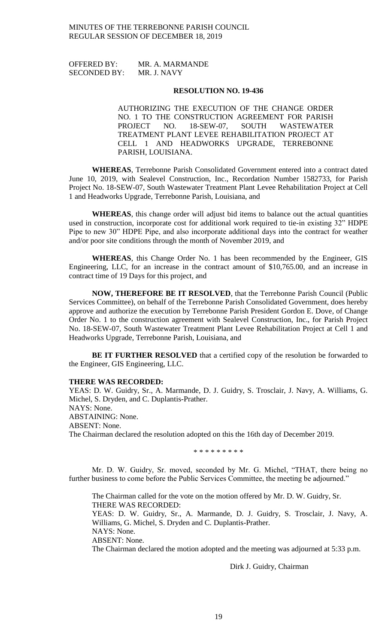OFFERED BY: MR. A. MARMANDE SECONDED BY: MR. J. NAVY

#### **RESOLUTION NO. 19-436**

AUTHORIZING THE EXECUTION OF THE CHANGE ORDER NO. 1 TO THE CONSTRUCTION AGREEMENT FOR PARISH PROJECT NO. 18-SEW-07, SOUTH WASTEWATER TREATMENT PLANT LEVEE REHABILITATION PROJECT AT CELL 1 AND HEADWORKS UPGRADE, TERREBONNE PARISH, LOUISIANA.

**WHEREAS**, Terrebonne Parish Consolidated Government entered into a contract dated June 10, 2019, with Sealevel Construction, Inc., Recordation Number 1582733, for Parish Project No. 18-SEW-07, South Wastewater Treatment Plant Levee Rehabilitation Project at Cell 1 and Headworks Upgrade, Terrebonne Parish, Louisiana, and

**WHEREAS**, this change order will adjust bid items to balance out the actual quantities used in construction, incorporate cost for additional work required to tie-in existing 32" HDPE Pipe to new 30" HDPE Pipe, and also incorporate additional days into the contract for weather and/or poor site conditions through the month of November 2019, and

**WHEREAS**, this Change Order No. 1 has been recommended by the Engineer, GIS Engineering, LLC, for an increase in the contract amount of \$10,765.00, and an increase in contract time of 19 Days for this project, and

**NOW, THEREFORE BE IT RESOLVED**, that the Terrebonne Parish Council (Public Services Committee), on behalf of the Terrebonne Parish Consolidated Government, does hereby approve and authorize the execution by Terrebonne Parish President Gordon E. Dove, of Change Order No. 1 to the construction agreement with Sealevel Construction, Inc., for Parish Project No. 18-SEW-07, South Wastewater Treatment Plant Levee Rehabilitation Project at Cell 1 and Headworks Upgrade, Terrebonne Parish, Louisiana, and

**BE IT FURTHER RESOLVED** that a certified copy of the resolution be forwarded to the Engineer, GIS Engineering, LLC.

### **THERE WAS RECORDED:**

YEAS: D. W. Guidry, Sr., A. Marmande, D. J. Guidry, S. Trosclair, J. Navy, A. Williams, G. Michel, S. Dryden, and C. Duplantis-Prather. NAYS: None. ABSTAINING: None. ABSENT: None. The Chairman declared the resolution adopted on this the 16th day of December 2019.

\* \* \* \* \* \* \* \* \*

Mr. D. W. Guidry, Sr. moved, seconded by Mr. G. Michel, "THAT, there being no further business to come before the Public Services Committee, the meeting be adjourned."

The Chairman called for the vote on the motion offered by Mr. D. W. Guidry, Sr. THERE WAS RECORDED:

YEAS: D. W. Guidry, Sr., A. Marmande, D. J. Guidry, S. Trosclair, J. Navy, A. Williams, G. Michel, S. Dryden and C. Duplantis-Prather. NAYS: None.

ABSENT: None.

The Chairman declared the motion adopted and the meeting was adjourned at 5:33 p.m.

Dirk J. Guidry, Chairman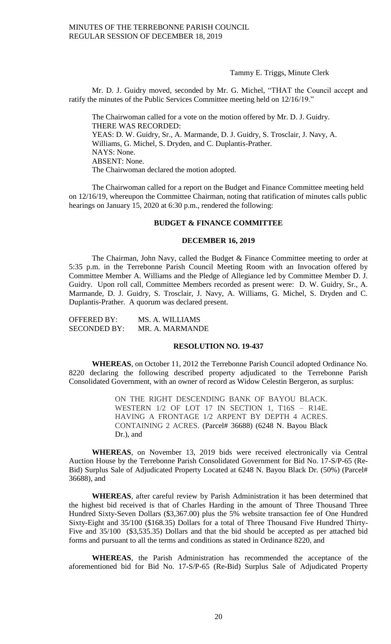Tammy E. Triggs, Minute Clerk

Mr. D. J. Guidry moved, seconded by Mr. G. Michel, "THAT the Council accept and ratify the minutes of the Public Services Committee meeting held on 12/16/19."

The Chairwoman called for a vote on the motion offered by Mr. D. J. Guidry. THERE WAS RECORDED: YEAS: D. W. Guidry, Sr., A. Marmande, D. J. Guidry, S. Trosclair, J. Navy, A. Williams, G. Michel, S. Dryden, and C. Duplantis-Prather. NAYS: None. ABSENT: None. The Chairwoman declared the motion adopted.

The Chairwoman called for a report on the Budget and Finance Committee meeting held on 12/16/19, whereupon the Committee Chairman, noting that ratification of minutes calls public hearings on January 15, 2020 at 6:30 p.m., rendered the following:

#### **BUDGET & FINANCE COMMITTEE**

## **DECEMBER 16, 2019**

The Chairman, John Navy, called the Budget & Finance Committee meeting to order at 5:35 p.m. in the Terrebonne Parish Council Meeting Room with an Invocation offered by Committee Member A. Williams and the Pledge of Allegiance led by Committee Member D. J. Guidry. Upon roll call, Committee Members recorded as present were: D. W. Guidry, Sr., A. Marmande, D. J. Guidry, S. Trosclair, J. Navy, A. Williams, G. Michel, S. Dryden and C. Duplantis-Prather. A quorum was declared present.

| <b>OFFERED BY:</b>  | MS. A. WILLIAMS |
|---------------------|-----------------|
| <b>SECONDED BY:</b> | MR. A. MARMANDE |

#### **RESOLUTION NO. 19-437**

**WHEREAS**, on October 11, 2012 the Terrebonne Parish Council adopted Ordinance No. 8220 declaring the following described property adjudicated to the Terrebonne Parish Consolidated Government, with an owner of record as Widow Celestin Bergeron, as surplus:

> ON THE RIGHT DESCENDING BANK OF BAYOU BLACK. WESTERN 1/2 OF LOT 17 IN SECTION 1, T16S – R14E. HAVING A FRONTAGE 1/2 ARPENT BY DEPTH 4 ACRES. CONTAINING 2 ACRES. (Parcel# 36688) (6248 N. Bayou Black Dr.), and

**WHEREAS**, on November 13, 2019 bids were received electronically via Central Auction House by the Terrebonne Parish Consolidated Government for Bid No. 17-S/P-65 (Re-Bid) Surplus Sale of Adjudicated Property Located at 6248 N. Bayou Black Dr. (50%) (Parcel# 36688), and

**WHEREAS**, after careful review by Parish Administration it has been determined that the highest bid received is that of Charles Harding in the amount of Three Thousand Three Hundred Sixty-Seven Dollars (\$3,367.00) plus the 5% website transaction fee of One Hundred Sixty-Eight and 35/100 (\$168.35) Dollars for a total of Three Thousand Five Hundred Thirty-Five and 35/100 (\$3,535.35) Dollars and that the bid should be accepted as per attached bid forms and pursuant to all the terms and conditions as stated in Ordinance 8220, and

**WHEREAS**, the Parish Administration has recommended the acceptance of the aforementioned bid for Bid No. 17-S/P-65 (Re-Bid) Surplus Sale of Adjudicated Property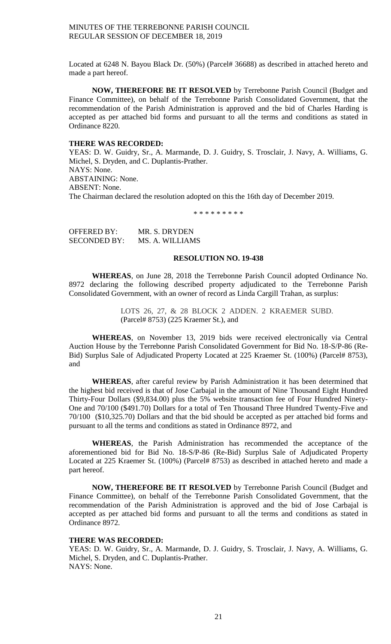Located at 6248 N. Bayou Black Dr. (50%) (Parcel# 36688) as described in attached hereto and made a part hereof.

**NOW, THEREFORE BE IT RESOLVED** by Terrebonne Parish Council (Budget and Finance Committee), on behalf of the Terrebonne Parish Consolidated Government, that the recommendation of the Parish Administration is approved and the bid of Charles Harding is accepted as per attached bid forms and pursuant to all the terms and conditions as stated in Ordinance 8220.

## **THERE WAS RECORDED:**

YEAS: D. W. Guidry, Sr., A. Marmande, D. J. Guidry, S. Trosclair, J. Navy, A. Williams, G. Michel, S. Dryden, and C. Duplantis-Prather. NAYS: None. ABSTAINING: None. ABSENT: None. The Chairman declared the resolution adopted on this the 16th day of December 2019.

\* \* \* \* \* \* \* \* \*

| OFFERED BY:         | MR. S. DRYDEN   |
|---------------------|-----------------|
| <b>SECONDED BY:</b> | MS. A. WILLIAMS |

#### **RESOLUTION NO. 19-438**

**WHEREAS**, on June 28, 2018 the Terrebonne Parish Council adopted Ordinance No. 8972 declaring the following described property adjudicated to the Terrebonne Parish Consolidated Government, with an owner of record as Linda Cargill Trahan, as surplus:

> LOTS 26, 27, & 28 BLOCK 2 ADDEN. 2 KRAEMER SUBD. (Parcel# 8753) (225 Kraemer St.), and

**WHEREAS**, on November 13, 2019 bids were received electronically via Central Auction House by the Terrebonne Parish Consolidated Government for Bid No. 18-S/P-86 (Re-Bid) Surplus Sale of Adjudicated Property Located at 225 Kraemer St. (100%) (Parcel# 8753), and

**WHEREAS**, after careful review by Parish Administration it has been determined that the highest bid received is that of Jose Carbajal in the amount of Nine Thousand Eight Hundred Thirty-Four Dollars (\$9,834.00) plus the 5% website transaction fee of Four Hundred Ninety-One and 70/100 (\$491.70) Dollars for a total of Ten Thousand Three Hundred Twenty-Five and 70/100 (\$10,325.70) Dollars and that the bid should be accepted as per attached bid forms and pursuant to all the terms and conditions as stated in Ordinance 8972, and

**WHEREAS**, the Parish Administration has recommended the acceptance of the aforementioned bid for Bid No. 18-S/P-86 (Re-Bid) Surplus Sale of Adjudicated Property Located at 225 Kraemer St. (100%) (Parcel# 8753) as described in attached hereto and made a part hereof.

**NOW, THEREFORE BE IT RESOLVED** by Terrebonne Parish Council (Budget and Finance Committee), on behalf of the Terrebonne Parish Consolidated Government, that the recommendation of the Parish Administration is approved and the bid of Jose Carbajal is accepted as per attached bid forms and pursuant to all the terms and conditions as stated in Ordinance 8972.

## **THERE WAS RECORDED:**

YEAS: D. W. Guidry, Sr., A. Marmande, D. J. Guidry, S. Trosclair, J. Navy, A. Williams, G. Michel, S. Dryden, and C. Duplantis-Prather. NAYS: None.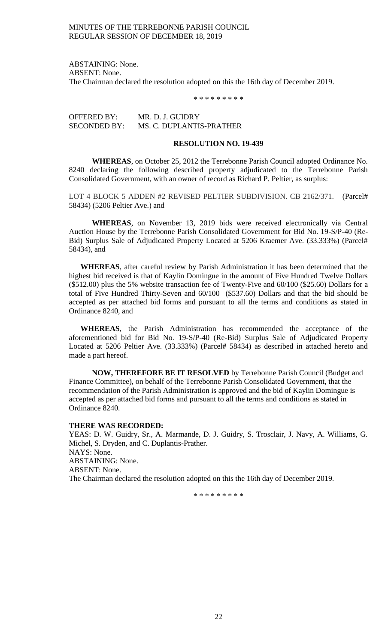ABSTAINING: None. ABSENT: None. The Chairman declared the resolution adopted on this the 16th day of December 2019.

\* \* \* \* \* \* \* \* \*

OFFERED BY: MR. D. J. GUIDRY SECONDED BY: MS. C. DUPLANTIS-PRATHER

### **RESOLUTION NO. 19-439**

**WHEREAS**, on October 25, 2012 the Terrebonne Parish Council adopted Ordinance No. 8240 declaring the following described property adjudicated to the Terrebonne Parish Consolidated Government, with an owner of record as Richard P. Peltier, as surplus:

LOT 4 BLOCK 5 ADDEN #2 REVISED PELTIER SUBDIVISION. CB 2162/371. (Parcel# 58434) (5206 Peltier Ave.) and

**WHEREAS**, on November 13, 2019 bids were received electronically via Central Auction House by the Terrebonne Parish Consolidated Government for Bid No. 19-S/P-40 (Re-Bid) Surplus Sale of Adjudicated Property Located at 5206 Kraemer Ave. (33.333%) (Parcel# 58434), and

**WHEREAS**, after careful review by Parish Administration it has been determined that the highest bid received is that of Kaylin Domingue in the amount of Five Hundred Twelve Dollars (\$512.00) plus the 5% website transaction fee of Twenty-Five and 60/100 (\$25.60) Dollars for a total of Five Hundred Thirty-Seven and 60/100 (\$537.60) Dollars and that the bid should be accepted as per attached bid forms and pursuant to all the terms and conditions as stated in Ordinance 8240, and

**WHEREAS**, the Parish Administration has recommended the acceptance of the aforementioned bid for Bid No. 19-S/P-40 (Re-Bid) Surplus Sale of Adjudicated Property Located at 5206 Peltier Ave. (33.333%) (Parcel# 58434) as described in attached hereto and made a part hereof.

**NOW, THEREFORE BE IT RESOLVED** by Terrebonne Parish Council (Budget and Finance Committee), on behalf of the Terrebonne Parish Consolidated Government, that the recommendation of the Parish Administration is approved and the bid of Kaylin Domingue is accepted as per attached bid forms and pursuant to all the terms and conditions as stated in Ordinance 8240.

#### **THERE WAS RECORDED:**

YEAS: D. W. Guidry, Sr., A. Marmande, D. J. Guidry, S. Trosclair, J. Navy, A. Williams, G. Michel, S. Dryden, and C. Duplantis-Prather. NAYS: None. ABSTAINING: None. ABSENT: None. The Chairman declared the resolution adopted on this the 16th day of December 2019.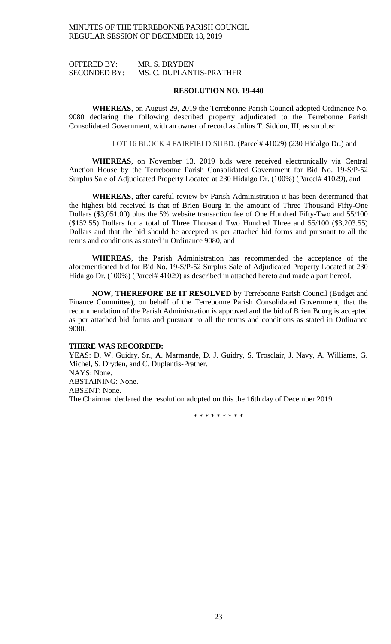OFFERED BY: MR. S. DRYDEN SECONDED BY: MS. C. DUPLANTIS-PRATHER

#### **RESOLUTION NO. 19-440**

**WHEREAS**, on August 29, 2019 the Terrebonne Parish Council adopted Ordinance No. 9080 declaring the following described property adjudicated to the Terrebonne Parish Consolidated Government, with an owner of record as Julius T. Siddon, III, as surplus:

LOT 16 BLOCK 4 FAIRFIELD SUBD. (Parcel# 41029) (230 Hidalgo Dr.) and

**WHEREAS**, on November 13, 2019 bids were received electronically via Central Auction House by the Terrebonne Parish Consolidated Government for Bid No. 19-S/P-52 Surplus Sale of Adjudicated Property Located at 230 Hidalgo Dr. (100%) (Parcel# 41029), and

**WHEREAS**, after careful review by Parish Administration it has been determined that the highest bid received is that of Brien Bourg in the amount of Three Thousand Fifty-One Dollars (\$3,051.00) plus the 5% website transaction fee of One Hundred Fifty-Two and 55/100 (\$152.55) Dollars for a total of Three Thousand Two Hundred Three and 55/100 (\$3,203.55) Dollars and that the bid should be accepted as per attached bid forms and pursuant to all the terms and conditions as stated in Ordinance 9080, and

**WHEREAS**, the Parish Administration has recommended the acceptance of the aforementioned bid for Bid No. 19-S/P-52 Surplus Sale of Adjudicated Property Located at 230 Hidalgo Dr. (100%) (Parcel# 41029) as described in attached hereto and made a part hereof.

**NOW, THEREFORE BE IT RESOLVED** by Terrebonne Parish Council (Budget and Finance Committee), on behalf of the Terrebonne Parish Consolidated Government, that the recommendation of the Parish Administration is approved and the bid of Brien Bourg is accepted as per attached bid forms and pursuant to all the terms and conditions as stated in Ordinance 9080.

#### **THERE WAS RECORDED:**

YEAS: D. W. Guidry, Sr., A. Marmande, D. J. Guidry, S. Trosclair, J. Navy, A. Williams, G. Michel, S. Dryden, and C. Duplantis-Prather. NAYS: None. ABSTAINING: None. ABSENT: None. The Chairman declared the resolution adopted on this the 16th day of December 2019.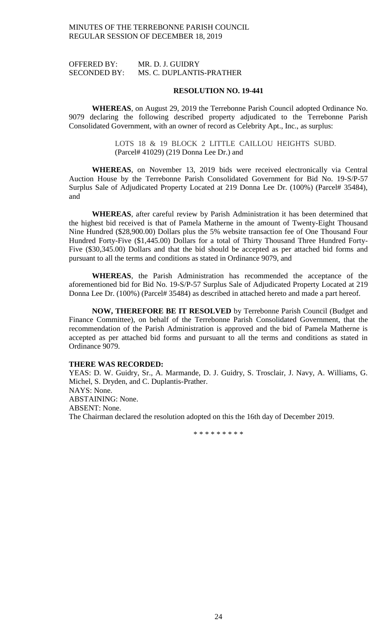OFFERED BY: MR. D. J. GUIDRY SECONDED BY: MS. C. DUPLANTIS-PRATHER

### **RESOLUTION NO. 19-441**

**WHEREAS**, on August 29, 2019 the Terrebonne Parish Council adopted Ordinance No. 9079 declaring the following described property adjudicated to the Terrebonne Parish Consolidated Government, with an owner of record as Celebrity Apt., Inc., as surplus:

> LOTS 18 & 19 BLOCK 2 LITTLE CAILLOU HEIGHTS SUBD. (Parcel# 41029) (219 Donna Lee Dr.) and

**WHEREAS**, on November 13, 2019 bids were received electronically via Central Auction House by the Terrebonne Parish Consolidated Government for Bid No. 19-S/P-57 Surplus Sale of Adjudicated Property Located at 219 Donna Lee Dr. (100%) (Parcel# 35484), and

**WHEREAS**, after careful review by Parish Administration it has been determined that the highest bid received is that of Pamela Matherne in the amount of Twenty-Eight Thousand Nine Hundred (\$28,900.00) Dollars plus the 5% website transaction fee of One Thousand Four Hundred Forty-Five (\$1,445.00) Dollars for a total of Thirty Thousand Three Hundred Forty-Five (\$30,345.00) Dollars and that the bid should be accepted as per attached bid forms and pursuant to all the terms and conditions as stated in Ordinance 9079, and

**WHEREAS**, the Parish Administration has recommended the acceptance of the aforementioned bid for Bid No. 19-S/P-57 Surplus Sale of Adjudicated Property Located at 219 Donna Lee Dr. (100%) (Parcel# 35484) as described in attached hereto and made a part hereof.

**NOW, THEREFORE BE IT RESOLVED** by Terrebonne Parish Council (Budget and Finance Committee), on behalf of the Terrebonne Parish Consolidated Government, that the recommendation of the Parish Administration is approved and the bid of Pamela Matherne is accepted as per attached bid forms and pursuant to all the terms and conditions as stated in Ordinance 9079.

# **THERE WAS RECORDED:**

YEAS: D. W. Guidry, Sr., A. Marmande, D. J. Guidry, S. Trosclair, J. Navy, A. Williams, G. Michel, S. Dryden, and C. Duplantis-Prather. NAYS: None. ABSTAINING: None. ABSENT: None. The Chairman declared the resolution adopted on this the 16th day of December 2019.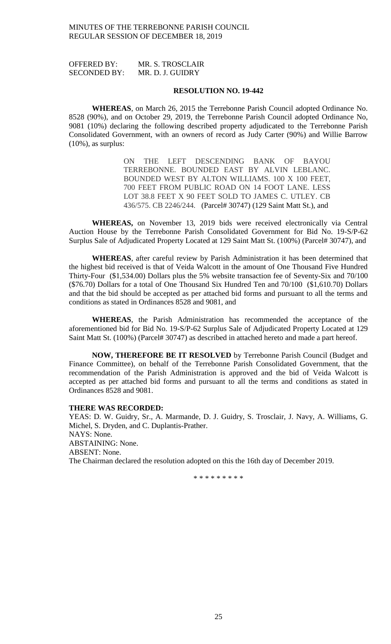OFFERED BY: MR. S. TROSCLAIR SECONDED BY: MR. D. J. GUIDRY

#### **RESOLUTION NO. 19-442**

**WHEREAS**, on March 26, 2015 the Terrebonne Parish Council adopted Ordinance No. 8528 (90%), and on October 29, 2019, the Terrebonne Parish Council adopted Ordinance No, 9081 (10%) declaring the following described property adjudicated to the Terrebonne Parish Consolidated Government, with an owners of record as Judy Carter (90%) and Willie Barrow  $(10\%)$ , as surplus:

> ON THE LEFT DESCENDING BANK OF BAYOU TERREBONNE. BOUNDED EAST BY ALVIN LEBLANC. BOUNDED WEST BY ALTON WILLIAMS. 100 X 100 FEET, 700 FEET FROM PUBLIC ROAD ON 14 FOOT LANE. LESS LOT 38.8 FEET X 90 FEET SOLD TO JAMES C. UTLEY. CB 436/575. CB 2246/244. (Parcel# 30747) (129 Saint Matt St.), and

**WHEREAS,** on November 13, 2019 bids were received electronically via Central Auction House by the Terrebonne Parish Consolidated Government for Bid No. 19-S/P-62 Surplus Sale of Adjudicated Property Located at 129 Saint Matt St. (100%) (Parcel# 30747), and

**WHEREAS**, after careful review by Parish Administration it has been determined that the highest bid received is that of Veida Walcott in the amount of One Thousand Five Hundred Thirty-Four (\$1,534.00) Dollars plus the 5% website transaction fee of Seventy-Six and 70/100 (\$76.70) Dollars for a total of One Thousand Six Hundred Ten and 70/100 (\$1,610.70) Dollars and that the bid should be accepted as per attached bid forms and pursuant to all the terms and conditions as stated in Ordinances 8528 and 9081, and

**WHEREAS**, the Parish Administration has recommended the acceptance of the aforementioned bid for Bid No. 19-S/P-62 Surplus Sale of Adjudicated Property Located at 129 Saint Matt St. (100%) (Parcel# 30747) as described in attached hereto and made a part hereof.

**NOW, THEREFORE BE IT RESOLVED** by Terrebonne Parish Council (Budget and Finance Committee), on behalf of the Terrebonne Parish Consolidated Government, that the recommendation of the Parish Administration is approved and the bid of Veida Walcott is accepted as per attached bid forms and pursuant to all the terms and conditions as stated in Ordinances 8528 and 9081.

### **THERE WAS RECORDED:**

YEAS: D. W. Guidry, Sr., A. Marmande, D. J. Guidry, S. Trosclair, J. Navy, A. Williams, G. Michel, S. Dryden, and C. Duplantis-Prather. NAYS: None. ABSTAINING: None. ABSENT: None. The Chairman declared the resolution adopted on this the 16th day of December 2019.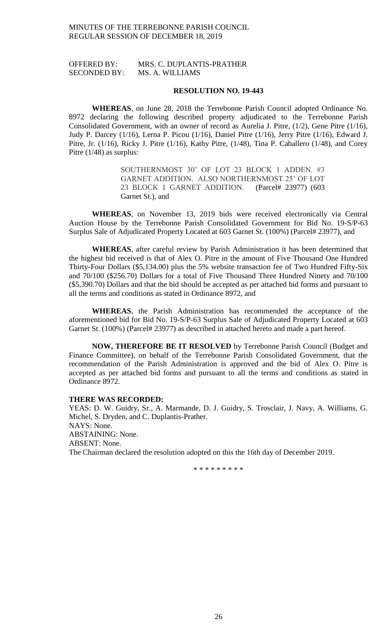# OFFERED BY: MRS. C. DUPLANTIS-PRATHER SECONDED BY: MS. A. WILLIAMS

#### **RESOLUTION NO. 19-443**

**WHEREAS**, on June 28, 2018 the Terrebonne Parish Council adopted Ordinance No. 8972 declaring the following described property adjudicated to the Terrebonne Parish Consolidated Government, with an owner of record as Aurelia J. Pitre, (1/2), Gene Pitre (1/16), Judy P. Darcey (1/16), Lerna P. Picou (1/16), Daniel Pitre (1/16), Jerry Pitre (1/16), Edward J. Pitre, Jr. (1/16), Ricky J. Pitre (1/16), Kathy Pitre, (1/48), Tina P. Caballero (1/48), and Corey Pitre (1/48) as surplus:

> SOUTHERNMOST 30' OF LOT 23 BLOCK 1 ADDEN. #3 GARNET ADDITION. ALSO NORTHERNMOST 25' OF LOT 23 BLOCK 1 GARNET ADDITION. (Parcel# 23977) (603 Garnet St.), and

**WHEREAS**, on November 13, 2019 bids were received electronically via Central Auction House by the Terrebonne Parish Consolidated Government for Bid No. 19-S/P-63 Surplus Sale of Adjudicated Property Located at 603 Garnet St. (100%) (Parcel# 23977), and

**WHEREAS**, after careful review by Parish Administration it has been determined that the highest bid received is that of Alex O. Pitre in the amount of Five Thousand One Hundred Thirty-Four Dollars (\$5,134.00) plus the 5% website transaction fee of Two Hundred Fifty-Six and 70/100 (\$256.70) Dollars for a total of Five Thousand Three Hundred Ninety and 70/100 (\$5,390.70) Dollars and that the bid should be accepted as per attached bid forms and pursuant to all the terms and conditions as stated in Ordinance 8972, and

**WHEREAS**, the Parish Administration has recommended the acceptance of the aforementioned bid for Bid No. 19-S/P-63 Surplus Sale of Adjudicated Property Located at 603 Garnet St. (100%) (Parcel# 23977) as described in attached hereto and made a part hereof.

**NOW, THEREFORE BE IT RESOLVED** by Terrebonne Parish Council (Budget and Finance Committee), on behalf of the Terrebonne Parish Consolidated Government, that the recommendation of the Parish Administration is approved and the bid of Alex O. Pitre is accepted as per attached bid forms and pursuant to all the terms and conditions as stated in Ordinance 8972.

#### **THERE WAS RECORDED:**

YEAS: D. W. Guidry, Sr., A. Marmande, D. J. Guidry, S. Trosclair, J. Navy, A. Williams, G. Michel, S. Dryden, and C. Duplantis-Prather. NAYS: None. ABSTAINING: None. ABSENT: None. The Chairman declared the resolution adopted on this the 16th day of December 2019.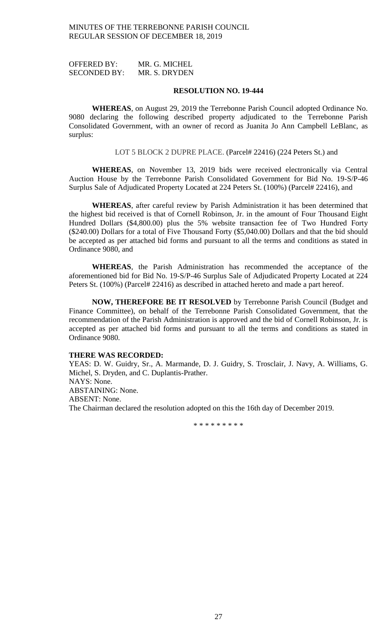OFFERED BY: MR. G. MICHEL SECONDED BY: MR. S. DRYDEN

#### **RESOLUTION NO. 19-444**

**WHEREAS**, on August 29, 2019 the Terrebonne Parish Council adopted Ordinance No. 9080 declaring the following described property adjudicated to the Terrebonne Parish Consolidated Government, with an owner of record as Juanita Jo Ann Campbell LeBlanc, as surplus:

LOT 5 BLOCK 2 DUPRE PLACE. (Parcel# 22416) (224 Peters St.) and

**WHEREAS**, on November 13, 2019 bids were received electronically via Central Auction House by the Terrebonne Parish Consolidated Government for Bid No. 19-S/P-46 Surplus Sale of Adjudicated Property Located at 224 Peters St. (100%) (Parcel# 22416), and

**WHEREAS**, after careful review by Parish Administration it has been determined that the highest bid received is that of Cornell Robinson, Jr. in the amount of Four Thousand Eight Hundred Dollars (\$4,800.00) plus the 5% website transaction fee of Two Hundred Forty (\$240.00) Dollars for a total of Five Thousand Forty (\$5,040.00) Dollars and that the bid should be accepted as per attached bid forms and pursuant to all the terms and conditions as stated in Ordinance 9080, and

**WHEREAS**, the Parish Administration has recommended the acceptance of the aforementioned bid for Bid No. 19-S/P-46 Surplus Sale of Adjudicated Property Located at 224 Peters St. (100%) (Parcel# 22416) as described in attached hereto and made a part hereof.

**NOW, THEREFORE BE IT RESOLVED** by Terrebonne Parish Council (Budget and Finance Committee), on behalf of the Terrebonne Parish Consolidated Government, that the recommendation of the Parish Administration is approved and the bid of Cornell Robinson, Jr. is accepted as per attached bid forms and pursuant to all the terms and conditions as stated in Ordinance 9080.

## **THERE WAS RECORDED:**

YEAS: D. W. Guidry, Sr., A. Marmande, D. J. Guidry, S. Trosclair, J. Navy, A. Williams, G. Michel, S. Dryden, and C. Duplantis-Prather. NAYS: None. ABSTAINING: None. ABSENT: None. The Chairman declared the resolution adopted on this the 16th day of December 2019.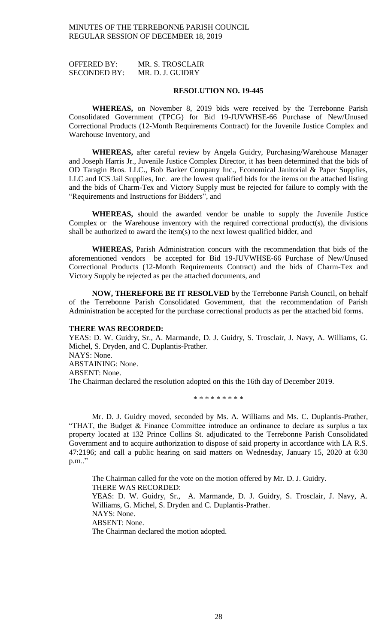OFFERED BY: MR. S. TROSCLAIR SECONDED BY: MR. D. J. GUIDRY

#### **RESOLUTION NO. 19-445**

**WHEREAS,** on November 8, 2019 bids were received by the Terrebonne Parish Consolidated Government (TPCG) for Bid 19-JUVWHSE-66 Purchase of New/Unused Correctional Products (12-Month Requirements Contract) for the Juvenile Justice Complex and Warehouse Inventory, and

**WHEREAS,** after careful review by Angela Guidry, Purchasing/Warehouse Manager and Joseph Harris Jr., Juvenile Justice Complex Director, it has been determined that the bids of OD Taragin Bros. LLC., Bob Barker Company Inc., Economical Janitorial & Paper Supplies, LLC and ICS Jail Supplies, Inc. are the lowest qualified bids for the items on the attached listing and the bids of Charm-Tex and Victory Supply must be rejected for failure to comply with the "Requirements and Instructions for Bidders", and

**WHEREAS,** should the awarded vendor be unable to supply the Juvenile Justice Complex or the Warehouse inventory with the required correctional product(s), the divisions shall be authorized to award the item(s) to the next lowest qualified bidder, and

**WHEREAS,** Parish Administration concurs with the recommendation that bids of the aforementioned vendors be accepted for Bid 19-JUVWHSE-66 Purchase of New/Unused Correctional Products (12-Month Requirements Contract) and the bids of Charm-Tex and Victory Supply be rejected as per the attached documents, and

**NOW, THEREFORE BE IT RESOLVED** by the Terrebonne Parish Council, on behalf of the Terrebonne Parish Consolidated Government, that the recommendation of Parish Administration be accepted for the purchase correctional products as per the attached bid forms.

#### **THERE WAS RECORDED:**

YEAS: D. W. Guidry, Sr., A. Marmande, D. J. Guidry, S. Trosclair, J. Navy, A. Williams, G. Michel, S. Dryden, and C. Duplantis-Prather. NAYS: None. ABSTAINING: None. ABSENT: None. The Chairman declared the resolution adopted on this the 16th day of December 2019.

\* \* \* \* \* \* \* \* \*

Mr. D. J. Guidry moved, seconded by Ms. A. Williams and Ms. C. Duplantis-Prather, "THAT, the Budget & Finance Committee introduce an ordinance to declare as surplus a tax property located at 132 Prince Collins St. adjudicated to the Terrebonne Parish Consolidated Government and to acquire authorization to dispose of said property in accordance with LA R.S. 47:2196; and call a public hearing on said matters on Wednesday, January 15, 2020 at 6:30 p.m.."

The Chairman called for the vote on the motion offered by Mr. D. J. Guidry. THERE WAS RECORDED: YEAS: D. W. Guidry, Sr., A. Marmande, D. J. Guidry, S. Trosclair, J. Navy, A. Williams, G. Michel, S. Dryden and C. Duplantis-Prather. NAYS: None. ABSENT: None. The Chairman declared the motion adopted.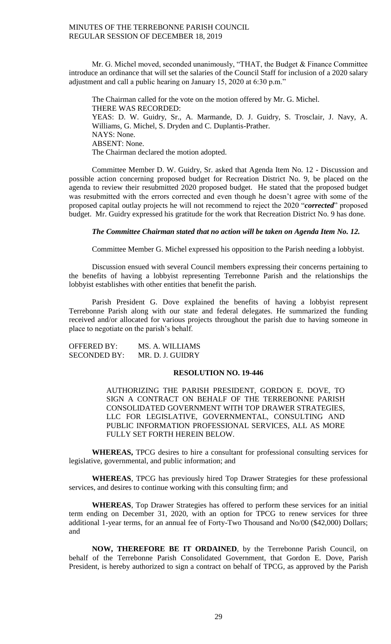Mr. G. Michel moved, seconded unanimously, "THAT, the Budget & Finance Committee introduce an ordinance that will set the salaries of the Council Staff for inclusion of a 2020 salary adjustment and call a public hearing on January 15, 2020 at 6:30 p.m."

The Chairman called for the vote on the motion offered by Mr. G. Michel. THERE WAS RECORDED: YEAS: D. W. Guidry, Sr., A. Marmande, D. J. Guidry, S. Trosclair, J. Navy, A. Williams, G. Michel, S. Dryden and C. Duplantis-Prather. NAYS: None. ABSENT: None. The Chairman declared the motion adopted.

Committee Member D. W. Guidry, Sr. asked that Agenda Item No. 12 - Discussion and possible action concerning proposed budget for Recreation District No. 9, be placed on the agenda to review their resubmitted 2020 proposed budget. He stated that the proposed budget was resubmitted with the errors corrected and even though he doesn't agree with some of the proposed capital outlay projects he will not recommend to reject the 2020 "*corrected*" proposed budget. Mr. Guidry expressed his gratitude for the work that Recreation District No. 9 has done.

#### *The Committee Chairman stated that no action will be taken on Agenda Item No. 12.*

Committee Member G. Michel expressed his opposition to the Parish needing a lobbyist.

Discussion ensued with several Council members expressing their concerns pertaining to the benefits of having a lobbyist representing Terrebonne Parish and the relationships the lobbyist establishes with other entities that benefit the parish.

Parish President G. Dove explained the benefits of having a lobbyist represent Terrebonne Parish along with our state and federal delegates. He summarized the funding received and/or allocated for various projects throughout the parish due to having someone in place to negotiate on the parish's behalf.

OFFERED BY: MS. A. WILLIAMS SECONDED BY: MR. D. J. GUIDRY

## **RESOLUTION NO. 19-446**

AUTHORIZING THE PARISH PRESIDENT, GORDON E. DOVE, TO SIGN A CONTRACT ON BEHALF OF THE TERREBONNE PARISH CONSOLIDATED GOVERNMENT WITH TOP DRAWER STRATEGIES, LLC FOR LEGISLATIVE, GOVERNMENTAL, CONSULTING AND PUBLIC INFORMATION PROFESSIONAL SERVICES, ALL AS MORE FULLY SET FORTH HEREIN BELOW.

**WHEREAS,** TPCG desires to hire a consultant for professional consulting services for legislative, governmental, and public information; and

**WHEREAS**, TPCG has previously hired Top Drawer Strategies for these professional services, and desires to continue working with this consulting firm; and

**WHEREAS**, Top Drawer Strategies has offered to perform these services for an initial term ending on December 31, 2020, with an option for TPCG to renew services for three additional 1-year terms, for an annual fee of Forty-Two Thousand and No/00 (\$42,000) Dollars; and

**NOW, THEREFORE BE IT ORDAINED**, by the Terrebonne Parish Council, on behalf of the Terrebonne Parish Consolidated Government, that Gordon E. Dove, Parish President, is hereby authorized to sign a contract on behalf of TPCG, as approved by the Parish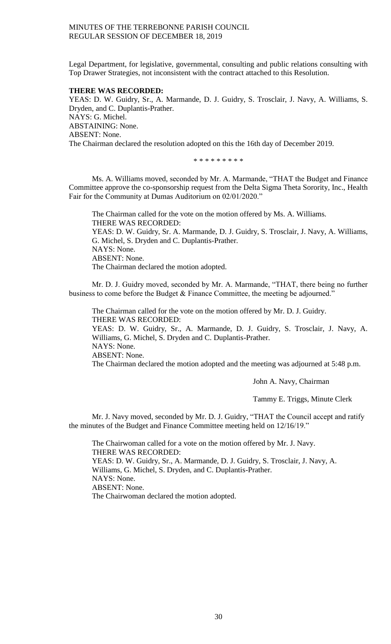Legal Department, for legislative, governmental, consulting and public relations consulting with Top Drawer Strategies, not inconsistent with the contract attached to this Resolution.

## **THERE WAS RECORDED:**

YEAS: D. W. Guidry, Sr., A. Marmande, D. J. Guidry, S. Trosclair, J. Navy, A. Williams, S. Dryden, and C. Duplantis-Prather. NAYS: G. Michel. ABSTAINING: None. ABSENT: None. The Chairman declared the resolution adopted on this the 16th day of December 2019.

\* \* \* \* \* \* \* \*

Ms. A. Williams moved, seconded by Mr. A. Marmande, "THAT the Budget and Finance Committee approve the co-sponsorship request from the Delta Sigma Theta Sorority, Inc., Health Fair for the Community at Dumas Auditorium on 02/01/2020."

The Chairman called for the vote on the motion offered by Ms. A. Williams. THERE WAS RECORDED: YEAS: D. W. Guidry, Sr. A. Marmande, D. J. Guidry, S. Trosclair, J. Navy, A. Williams, G. Michel, S. Dryden and C. Duplantis-Prather. NAYS: None. ABSENT: None. The Chairman declared the motion adopted.

Mr. D. J. Guidry moved, seconded by Mr. A. Marmande, "THAT, there being no further business to come before the Budget & Finance Committee, the meeting be adjourned."

The Chairman called for the vote on the motion offered by Mr. D. J. Guidry. THERE WAS RECORDED: YEAS: D. W. Guidry, Sr., A. Marmande, D. J. Guidry, S. Trosclair, J. Navy, A. Williams, G. Michel, S. Dryden and C. Duplantis-Prather. NAYS: None. ABSENT: None. The Chairman declared the motion adopted and the meeting was adjourned at 5:48 p.m.

John A. Navy, Chairman

Tammy E. Triggs, Minute Clerk

Mr. J. Navy moved, seconded by Mr. D. J. Guidry, "THAT the Council accept and ratify the minutes of the Budget and Finance Committee meeting held on 12/16/19."

The Chairwoman called for a vote on the motion offered by Mr. J. Navy. THERE WAS RECORDED: YEAS: D. W. Guidry, Sr., A. Marmande, D. J. Guidry, S. Trosclair, J. Navy, A. Williams, G. Michel, S. Dryden, and C. Duplantis-Prather. NAYS: None. ABSENT: None. The Chairwoman declared the motion adopted.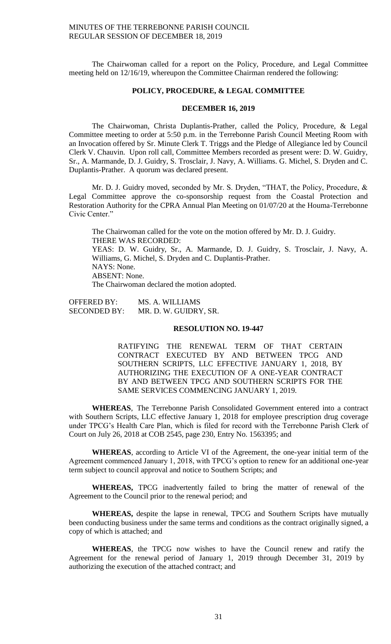The Chairwoman called for a report on the Policy, Procedure, and Legal Committee meeting held on 12/16/19, whereupon the Committee Chairman rendered the following:

#### **POLICY, PROCEDURE, & LEGAL COMMITTEE**

## **DECEMBER 16, 2019**

The Chairwoman, Christa Duplantis-Prather, called the Policy, Procedure, & Legal Committee meeting to order at 5:50 p.m. in the Terrebonne Parish Council Meeting Room with an Invocation offered by Sr. Minute Clerk T. Triggs and the Pledge of Allegiance led by Council Clerk V. Chauvin. Upon roll call, Committee Members recorded as present were: D. W. Guidry, Sr., A. Marmande, D. J. Guidry, S. Trosclair, J. Navy, A. Williams. G. Michel, S. Dryden and C. Duplantis-Prather. A quorum was declared present.

Mr. D. J. Guidry moved, seconded by Mr. S. Dryden, "THAT, the Policy, Procedure, & Legal Committee approve the co-sponsorship request from the Coastal Protection and Restoration Authority for the CPRA Annual Plan Meeting on 01/07/20 at the Houma-Terrebonne Civic Center."

The Chairwoman called for the vote on the motion offered by Mr. D. J. Guidry. THERE WAS RECORDED: YEAS: D. W. Guidry, Sr., A. Marmande, D. J. Guidry, S. Trosclair, J. Navy, A. Williams, G. Michel, S. Dryden and C. Duplantis-Prather. NAYS: None.

ABSENT: None.

The Chairwoman declared the motion adopted.

OFFERED BY: MS. A. WILLIAMS SECONDED BY: MR. D. W. GUIDRY, SR.

## **RESOLUTION NO. 19-447**

RATIFYING THE RENEWAL TERM OF THAT CERTAIN CONTRACT EXECUTED BY AND BETWEEN TPCG AND SOUTHERN SCRIPTS, LLC EFFECTIVE JANUARY 1, 2018, BY AUTHORIZING THE EXECUTION OF A ONE-YEAR CONTRACT BY AND BETWEEN TPCG AND SOUTHERN SCRIPTS FOR THE SAME SERVICES COMMENCING JANUARY 1, 2019.

**WHEREAS**, The Terrebonne Parish Consolidated Government entered into a contract with Southern Scripts, LLC effective January 1, 2018 for employee prescription drug coverage under TPCG's Health Care Plan, which is filed for record with the Terrebonne Parish Clerk of Court on July 26, 2018 at COB 2545, page 230, Entry No. 1563395; and

**WHEREAS**, according to Article VI of the Agreement, the one-year initial term of the Agreement commenced January 1, 2018, with TPCG's option to renew for an additional one-year term subject to council approval and notice to Southern Scripts; and

**WHEREAS,** TPCG inadvertently failed to bring the matter of renewal of the Agreement to the Council prior to the renewal period; and

**WHEREAS,** despite the lapse in renewal, TPCG and Southern Scripts have mutually been conducting business under the same terms and conditions as the contract originally signed, a copy of which is attached; and

**WHEREAS**, the TPCG now wishes to have the Council renew and ratify the Agreement for the renewal period of January 1, 2019 through December 31, 2019 by authorizing the execution of the attached contract; and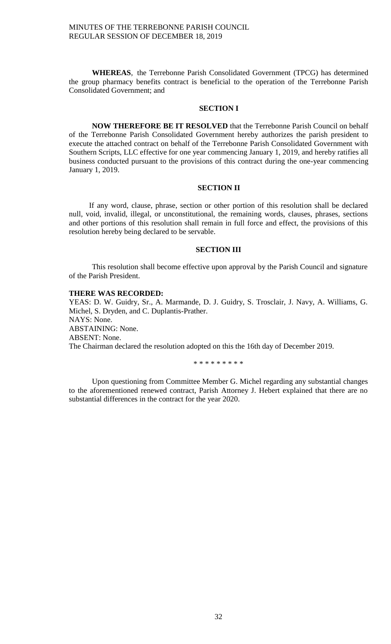**WHEREAS**, the Terrebonne Parish Consolidated Government (TPCG) has determined the group pharmacy benefits contract is beneficial to the operation of the Terrebonne Parish Consolidated Government; and

## **SECTION I**

**NOW THEREFORE BE IT RESOLVED** that the Terrebonne Parish Council on behalf of the Terrebonne Parish Consolidated Government hereby authorizes the parish president to execute the attached contract on behalf of the Terrebonne Parish Consolidated Government with Southern Scripts, LLC effective for one year commencing January 1, 2019, and hereby ratifies all business conducted pursuant to the provisions of this contract during the one-year commencing January 1, 2019.

## **SECTION II**

If any word, clause, phrase, section or other portion of this resolution shall be declared null, void, invalid, illegal, or unconstitutional, the remaining words, clauses, phrases, sections and other portions of this resolution shall remain in full force and effect, the provisions of this resolution hereby being declared to be servable.

#### **SECTION III**

This resolution shall become effective upon approval by the Parish Council and signature of the Parish President.

#### **THERE WAS RECORDED:**

YEAS: D. W. Guidry, Sr., A. Marmande, D. J. Guidry, S. Trosclair, J. Navy, A. Williams, G. Michel, S. Dryden, and C. Duplantis-Prather. NAYS: None. ABSTAINING: None. ABSENT: None. The Chairman declared the resolution adopted on this the 16th day of December 2019.

\* \* \* \* \* \* \* \* \*

Upon questioning from Committee Member G. Michel regarding any substantial changes to the aforementioned renewed contract, Parish Attorney J. Hebert explained that there are no substantial differences in the contract for the year 2020.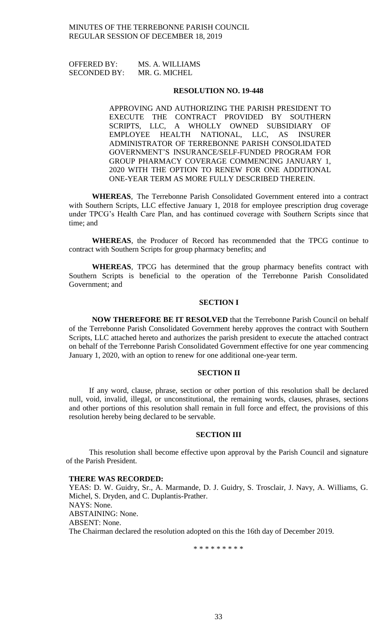OFFERED BY: MS. A. WILLIAMS SECONDED BY: MR. G. MICHEL

#### **RESOLUTION NO. 19-448**

APPROVING AND AUTHORIZING THE PARISH PRESIDENT TO EXECUTE THE CONTRACT PROVIDED BY SOUTHERN SCRIPTS, LLC, A WHOLLY OWNED SUBSIDIARY OF EMPLOYEE HEALTH NATIONAL, LLC, AS INSURER ADMINISTRATOR OF TERREBONNE PARISH CONSOLIDATED GOVERNMENT'S INSURANCE/SELF-FUNDED PROGRAM FOR GROUP PHARMACY COVERAGE COMMENCING JANUARY 1, 2020 WITH THE OPTION TO RENEW FOR ONE ADDITIONAL ONE-YEAR TERM AS MORE FULLY DESCRIBED THEREIN.

**WHEREAS**, The Terrebonne Parish Consolidated Government entered into a contract with Southern Scripts, LLC effective January 1, 2018 for employee prescription drug coverage under TPCG's Health Care Plan, and has continued coverage with Southern Scripts since that time; and

**WHEREAS**, the Producer of Record has recommended that the TPCG continue to contract with Southern Scripts for group pharmacy benefits; and

**WHEREAS**, TPCG has determined that the group pharmacy benefits contract with Southern Scripts is beneficial to the operation of the Terrebonne Parish Consolidated Government; and

## **SECTION I**

**NOW THEREFORE BE IT RESOLVED** that the Terrebonne Parish Council on behalf of the Terrebonne Parish Consolidated Government hereby approves the contract with Southern Scripts, LLC attached hereto and authorizes the parish president to execute the attached contract on behalf of the Terrebonne Parish Consolidated Government effective for one year commencing January 1, 2020, with an option to renew for one additional one-year term.

## **SECTION II**

If any word, clause, phrase, section or other portion of this resolution shall be declared null, void, invalid, illegal, or unconstitutional, the remaining words, clauses, phrases, sections and other portions of this resolution shall remain in full force and effect, the provisions of this resolution hereby being declared to be servable.

#### **SECTION III**

This resolution shall become effective upon approval by the Parish Council and signature of the Parish President.

#### **THERE WAS RECORDED:**

YEAS: D. W. Guidry, Sr., A. Marmande, D. J. Guidry, S. Trosclair, J. Navy, A. Williams, G. Michel, S. Dryden, and C. Duplantis-Prather. NAYS: None. ABSTAINING: None. ABSENT: None. The Chairman declared the resolution adopted on this the 16th day of December 2019.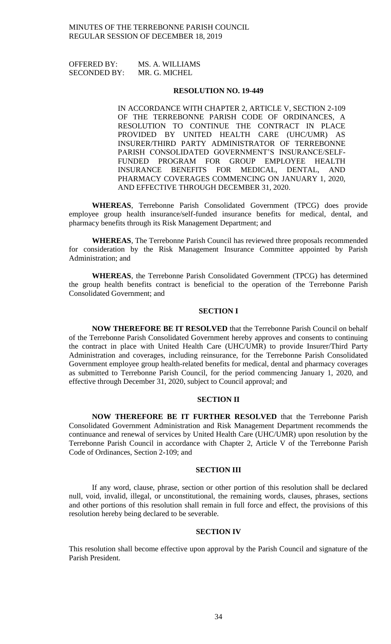OFFERED BY: MS. A. WILLIAMS SECONDED BY: MR. G. MICHEL

#### **RESOLUTION NO. 19-449**

IN ACCORDANCE WITH CHAPTER 2, ARTICLE V, SECTION 2-109 OF THE TERREBONNE PARISH CODE OF ORDINANCES, A RESOLUTION TO CONTINUE THE CONTRACT IN PLACE PROVIDED BY UNITED HEALTH CARE (UHC/UMR) AS INSURER/THIRD PARTY ADMINISTRATOR OF TERREBONNE PARISH CONSOLIDATED GOVERNMENT'S INSURANCE/SELF-FUNDED PROGRAM FOR GROUP EMPLOYEE HEALTH INSURANCE BENEFITS FOR MEDICAL, DENTAL, AND PHARMACY COVERAGES COMMENCING ON JANUARY 1, 2020, AND EFFECTIVE THROUGH DECEMBER 31, 2020.

**WHEREAS**, Terrebonne Parish Consolidated Government (TPCG) does provide employee group health insurance/self-funded insurance benefits for medical, dental, and pharmacy benefits through its Risk Management Department; and

**WHEREAS**, The Terrebonne Parish Council has reviewed three proposals recommended for consideration by the Risk Management Insurance Committee appointed by Parish Administration; and

**WHEREAS**, the Terrebonne Parish Consolidated Government (TPCG) has determined the group health benefits contract is beneficial to the operation of the Terrebonne Parish Consolidated Government; and

## **SECTION I**

**NOW THEREFORE BE IT RESOLVED** that the Terrebonne Parish Council on behalf of the Terrebonne Parish Consolidated Government hereby approves and consents to continuing the contract in place with United Health Care (UHC/UMR) to provide Insurer/Third Party Administration and coverages, including reinsurance, for the Terrebonne Parish Consolidated Government employee group health-related benefits for medical, dental and pharmacy coverages as submitted to Terrebonne Parish Council, for the period commencing January 1, 2020, and effective through December 31, 2020, subject to Council approval; and

## **SECTION II**

**NOW THEREFORE BE IT FURTHER RESOLVED** that the Terrebonne Parish Consolidated Government Administration and Risk Management Department recommends the continuance and renewal of services by United Health Care (UHC/UMR) upon resolution by the Terrebonne Parish Council in accordance with Chapter 2, Article V of the Terrebonne Parish Code of Ordinances, Section 2-109; and

## **SECTION III**

If any word, clause, phrase, section or other portion of this resolution shall be declared null, void, invalid, illegal, or unconstitutional, the remaining words, clauses, phrases, sections and other portions of this resolution shall remain in full force and effect, the provisions of this resolution hereby being declared to be severable.

## **SECTION IV**

This resolution shall become effective upon approval by the Parish Council and signature of the Parish President.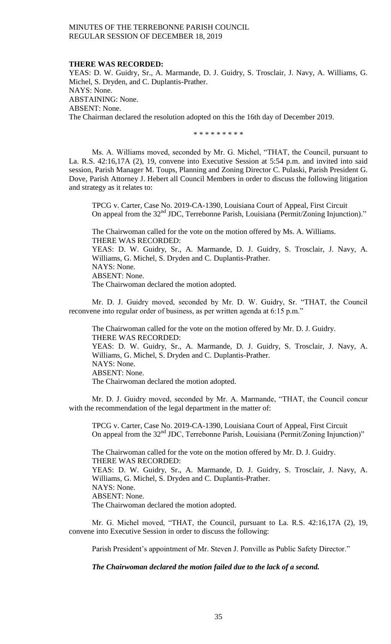#### **THERE WAS RECORDED:**

YEAS: D. W. Guidry, Sr., A. Marmande, D. J. Guidry, S. Trosclair, J. Navy, A. Williams, G. Michel, S. Dryden, and C. Duplantis-Prather. NAYS: None. ABSTAINING: None. ABSENT: None. The Chairman declared the resolution adopted on this the 16th day of December 2019.

\* \* \* \* \* \* \* \* \*

Ms. A. Williams moved, seconded by Mr. G. Michel, "THAT, the Council, pursuant to La. R.S. 42:16,17A (2), 19, convene into Executive Session at 5:54 p.m. and invited into said session, Parish Manager M. Toups, Planning and Zoning Director C. Pulaski, Parish President G. Dove, Parish Attorney J. Hebert all Council Members in order to discuss the following litigation and strategy as it relates to:

TPCG v. Carter, Case No. 2019-CA-1390, Louisiana Court of Appeal, First Circuit On appeal from the 32<sup>nd</sup> JDC, Terrebonne Parish, Louisiana (Permit/Zoning Injunction)."

The Chairwoman called for the vote on the motion offered by Ms. A. Williams. THERE WAS RECORDED: YEAS: D. W. Guidry, Sr., A. Marmande, D. J. Guidry, S. Trosclair, J. Navy, A. Williams, G. Michel, S. Dryden and C. Duplantis-Prather. NAYS: None. ABSENT: None. The Chairwoman declared the motion adopted.

Mr. D. J. Guidry moved, seconded by Mr. D. W. Guidry, Sr. "THAT, the Council reconvene into regular order of business, as per written agenda at 6:15 p.m."

The Chairwoman called for the vote on the motion offered by Mr. D. J. Guidry. THERE WAS RECORDED: YEAS: D. W. Guidry, Sr., A. Marmande, D. J. Guidry, S. Trosclair, J. Navy, A. Williams, G. Michel, S. Dryden and C. Duplantis-Prather. NAYS: None. ABSENT: None. The Chairwoman declared the motion adopted.

Mr. D. J. Guidry moved, seconded by Mr. A. Marmande, "THAT, the Council concur with the recommendation of the legal department in the matter of:

TPCG v. Carter, Case No. 2019-CA-1390, Louisiana Court of Appeal, First Circuit On appeal from the 32<sup>nd</sup> JDC, Terrebonne Parish, Louisiana (Permit/Zoning Injunction)"

The Chairwoman called for the vote on the motion offered by Mr. D. J. Guidry. THERE WAS RECORDED: YEAS: D. W. Guidry, Sr., A. Marmande, D. J. Guidry, S. Trosclair, J. Navy, A. Williams, G. Michel, S. Dryden and C. Duplantis-Prather. NAYS: None. ABSENT: None. The Chairwoman declared the motion adopted.

Mr. G. Michel moved, "THAT, the Council, pursuant to La. R.S. 42:16,17A (2), 19, convene into Executive Session in order to discuss the following:

Parish President's appointment of Mr. Steven J. Ponville as Public Safety Director."

*The Chairwoman declared the motion failed due to the lack of a second.*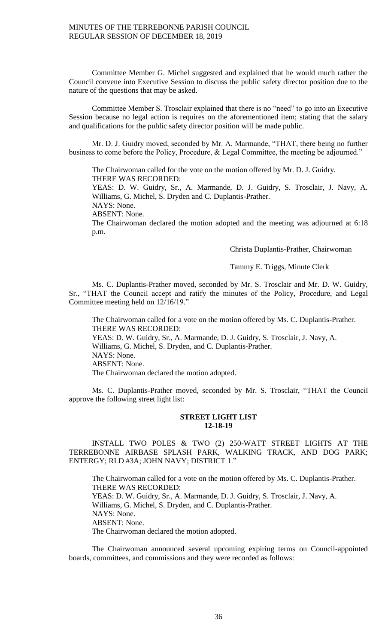Committee Member G. Michel suggested and explained that he would much rather the Council convene into Executive Session to discuss the public safety director position due to the nature of the questions that may be asked.

Committee Member S. Trosclair explained that there is no "need" to go into an Executive Session because no legal action is requires on the aforementioned item; stating that the salary and qualifications for the public safety director position will be made public.

Mr. D. J. Guidry moved, seconded by Mr. A. Marmande, "THAT, there being no further business to come before the Policy, Procedure, & Legal Committee, the meeting be adjourned."

The Chairwoman called for the vote on the motion offered by Mr. D. J. Guidry. THERE WAS RECORDED:

YEAS: D. W. Guidry, Sr., A. Marmande, D. J. Guidry, S. Trosclair, J. Navy, A. Williams, G. Michel, S. Dryden and C. Duplantis-Prather.

NAYS: None.

ABSENT: None.

The Chairwoman declared the motion adopted and the meeting was adjourned at 6:18 p.m.

Christa Duplantis-Prather, Chairwoman

## Tammy E. Triggs, Minute Clerk

Ms. C. Duplantis-Prather moved, seconded by Mr. S. Trosclair and Mr. D. W. Guidry, Sr., "THAT the Council accept and ratify the minutes of the Policy, Procedure, and Legal Committee meeting held on 12/16/19."

The Chairwoman called for a vote on the motion offered by Ms. C. Duplantis-Prather. THERE WAS RECORDED: YEAS: D. W. Guidry, Sr., A. Marmande, D. J. Guidry, S. Trosclair, J. Navy, A. Williams, G. Michel, S. Dryden, and C. Duplantis-Prather. NAYS: None. ABSENT: None. The Chairwoman declared the motion adopted.

Ms. C. Duplantis-Prather moved, seconded by Mr. S. Trosclair, "THAT the Council approve the following street light list:

## **STREET LIGHT LIST 12-18-19**

INSTALL TWO POLES & TWO (2) 250-WATT STREET LIGHTS AT THE TERREBONNE AIRBASE SPLASH PARK, WALKING TRACK, AND DOG PARK; ENTERGY; RLD #3A; JOHN NAVY; DISTRICT 1."

The Chairwoman called for a vote on the motion offered by Ms. C. Duplantis-Prather. THERE WAS RECORDED: YEAS: D. W. Guidry, Sr., A. Marmande, D. J. Guidry, S. Trosclair, J. Navy, A. Williams, G. Michel, S. Dryden, and C. Duplantis-Prather. NAYS: None. ABSENT: None. The Chairwoman declared the motion adopted.

The Chairwoman announced several upcoming expiring terms on Council-appointed boards, committees, and commissions and they were recorded as follows: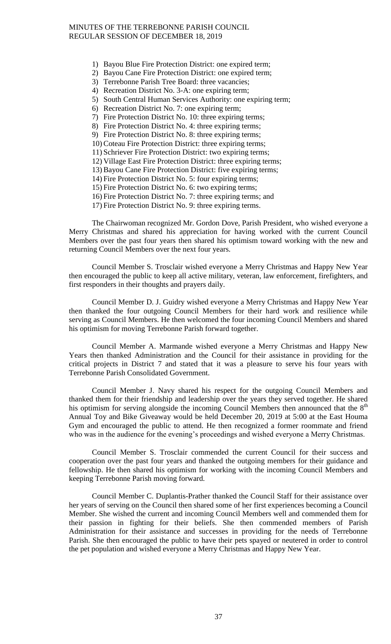- 1) Bayou Blue Fire Protection District: one expired term;
- 2) Bayou Cane Fire Protection District: one expired term;
- 3) Terrebonne Parish Tree Board: three vacancies;
- 4) Recreation District No. 3-A: one expiring term;
- 5) South Central Human Services Authority: one expiring term;
- 6) Recreation District No. 7: one expiring term;
- 7) Fire Protection District No. 10: three expiring terms;
- 8) Fire Protection District No. 4: three expiring terms;
- 9) Fire Protection District No. 8: three expiring terms;
- 10) Coteau Fire Protection District: three expiring terms;
- 11) Schriever Fire Protection District: two expiring terms;
- 12) Village East Fire Protection District: three expiring terms;
- 13) Bayou Cane Fire Protection District: five expiring terms;
- 14) Fire Protection District No. 5: four expiring terms;
- 15) Fire Protection District No. 6: two expiring terms;
- 16) Fire Protection District No. 7: three expiring terms; and
- 17) Fire Protection District No. 9: three expiring terms.

The Chairwoman recognized Mr. Gordon Dove, Parish President, who wished everyone a Merry Christmas and shared his appreciation for having worked with the current Council Members over the past four years then shared his optimism toward working with the new and returning Council Members over the next four years.

Council Member S. Trosclair wished everyone a Merry Christmas and Happy New Year then encouraged the public to keep all active military, veteran, law enforcement, firefighters, and first responders in their thoughts and prayers daily.

Council Member D. J. Guidry wished everyone a Merry Christmas and Happy New Year then thanked the four outgoing Council Members for their hard work and resilience while serving as Council Members. He then welcomed the four incoming Council Members and shared his optimism for moving Terrebonne Parish forward together.

Council Member A. Marmande wished everyone a Merry Christmas and Happy New Years then thanked Administration and the Council for their assistance in providing for the critical projects in District 7 and stated that it was a pleasure to serve his four years with Terrebonne Parish Consolidated Government.

Council Member J. Navy shared his respect for the outgoing Council Members and thanked them for their friendship and leadership over the years they served together. He shared his optimism for serving alongside the incoming Council Members then announced that the  $8<sup>th</sup>$ Annual Toy and Bike Giveaway would be held December 20, 2019 at 5:00 at the East Houma Gym and encouraged the public to attend. He then recognized a former roommate and friend who was in the audience for the evening's proceedings and wished everyone a Merry Christmas.

Council Member S. Trosclair commended the current Council for their success and cooperation over the past four years and thanked the outgoing members for their guidance and fellowship. He then shared his optimism for working with the incoming Council Members and keeping Terrebonne Parish moving forward.

Council Member C. Duplantis-Prather thanked the Council Staff for their assistance over her years of serving on the Council then shared some of her first experiences becoming a Council Member. She wished the current and incoming Council Members well and commended them for their passion in fighting for their beliefs. She then commended members of Parish Administration for their assistance and successes in providing for the needs of Terrebonne Parish. She then encouraged the public to have their pets spayed or neutered in order to control the pet population and wished everyone a Merry Christmas and Happy New Year.